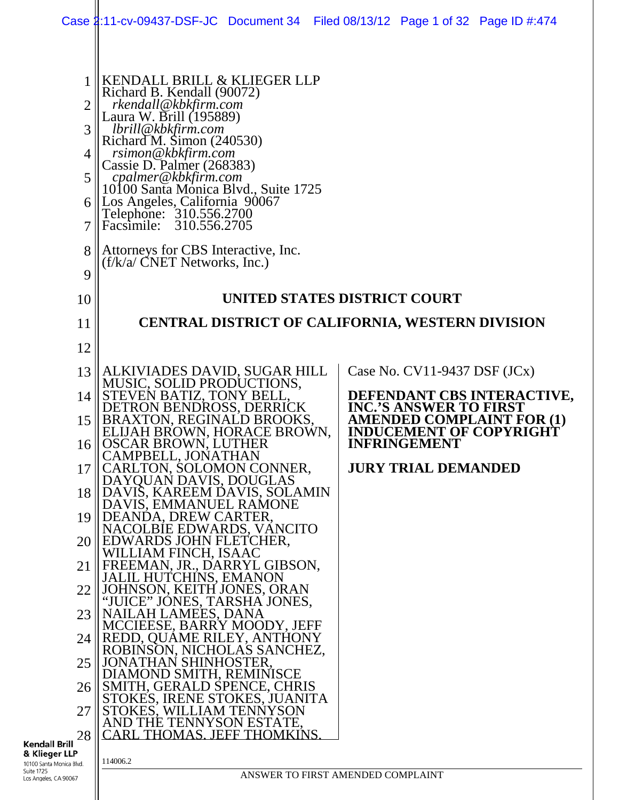|                                                        |                                                                                                                                                                                                                                                                                                                                                                                                                                                  | Case 1:11-cv-09437-DSF-JC Document 34 Filed 08/13/12 Page 1 of 32 Page ID #:474 |  |  |  |
|--------------------------------------------------------|--------------------------------------------------------------------------------------------------------------------------------------------------------------------------------------------------------------------------------------------------------------------------------------------------------------------------------------------------------------------------------------------------------------------------------------------------|---------------------------------------------------------------------------------|--|--|--|
| 1<br>$\overline{2}$<br>3<br>4<br>5<br>6<br>7<br>8<br>9 | KENDALL BRILL & KLIEGER LLP<br>Richard B. Kendall (90072)<br>rkendall@kbkfirm.com<br>Laura W. Brill (195889)<br>lbrill@kbkfirm.com<br>Richard M. Simon (240530)<br>rsimon@kbkfirm.com<br>Cassie D. Palmer (268383)<br>cpalmer@kbkfirm.com<br>10100 Santa Mónica Blvd., Suite 1725<br>Los Angeles, California 90067<br>Telephone: 310.556.2700<br>Facsimile: 310.556.2705<br>Attorneys for CBS Interactive, Inc.<br>$(f/k/a/CNET$ Networks, Inc.) |                                                                                 |  |  |  |
| 10                                                     | UNITED STATES DISTRICT COURT                                                                                                                                                                                                                                                                                                                                                                                                                     |                                                                                 |  |  |  |
| 11                                                     |                                                                                                                                                                                                                                                                                                                                                                                                                                                  | CENTRAL DISTRICT OF CALIFORNIA, WESTERN DIVISION                                |  |  |  |
| 12                                                     |                                                                                                                                                                                                                                                                                                                                                                                                                                                  |                                                                                 |  |  |  |
| 13                                                     | ALKIVIADES DAVID, SUGAR HILL                                                                                                                                                                                                                                                                                                                                                                                                                     | Case No. $CV11-9437$ DSF $(JCx)$                                                |  |  |  |
| 14                                                     | MUSIC, SOLID PRODUCTIONS,<br>STEVEN BATIZ, TONY BELL,<br>DETRON BENDROSS, DERRICK                                                                                                                                                                                                                                                                                                                                                                | DEFENDANT CBS INTERACTIVE,<br><b>INC.'S ANSWER TO FIRST</b>                     |  |  |  |
| 15                                                     | BRAXTON, REGINALD BROOKS,<br>ELIJAH BROWN, HORACE BROWN,                                                                                                                                                                                                                                                                                                                                                                                         | <b>AMENDED COMPLAINT FOR (1)</b><br><b>INDUCEMENT OF COPYRIGHT</b>              |  |  |  |
| 16                                                     | <b>OSCAR BROWN, LUTHER</b><br>CAMPBELL, JONATHAN                                                                                                                                                                                                                                                                                                                                                                                                 | <b>INFRINGEMENT</b>                                                             |  |  |  |
| 17                                                     | CARLTON, SOLOMON CONNER,<br>DAYQUAN DAVIS, DOUGLAS                                                                                                                                                                                                                                                                                                                                                                                               | <b>JURY TRIAL DEMANDED</b>                                                      |  |  |  |
| 18                                                     | DAVIS, KAREEM DAVIS, SOLAMIN<br>DAVIS, EMMANUEL RAMONE                                                                                                                                                                                                                                                                                                                                                                                           |                                                                                 |  |  |  |
| 19                                                     | DEANDA, DREW CARTER,                                                                                                                                                                                                                                                                                                                                                                                                                             |                                                                                 |  |  |  |
| 20                                                     | NACOLBIE EDWARDS, VANCITO<br>EDWARDS JOHN FLETCHER,                                                                                                                                                                                                                                                                                                                                                                                              |                                                                                 |  |  |  |
| 21                                                     | WILLIAM FINCH, ISAAC<br>FREEMAN, JR., DARRYL GIBSON,                                                                                                                                                                                                                                                                                                                                                                                             |                                                                                 |  |  |  |
| 22                                                     | JALIL HUTCHINS, EMANON<br>JOHNSON, KEITH JONES, ORAN                                                                                                                                                                                                                                                                                                                                                                                             |                                                                                 |  |  |  |
| 23                                                     | "JUICE" JONES, TARSHA JONES,<br>NAILAH LAMEES, DANA                                                                                                                                                                                                                                                                                                                                                                                              |                                                                                 |  |  |  |
| 24                                                     | MCCIEESE, BARRY MOODY, JEFF<br>REDD, QUAME RILEY, ANTHONY                                                                                                                                                                                                                                                                                                                                                                                        |                                                                                 |  |  |  |
| 25                                                     | ROBINSON, NICHOLAS SANCHEZ,<br><b>JONATHAN SHINHOSTER.</b>                                                                                                                                                                                                                                                                                                                                                                                       |                                                                                 |  |  |  |
| 26                                                     | DIAMOND SMITH, REMINISCE<br>SMITH, GERALD SPENCE, CHRIS                                                                                                                                                                                                                                                                                                                                                                                          |                                                                                 |  |  |  |
| 27                                                     | STOKES, IRENE STOKES, JUANITA<br>STOKES, WILLIAM TENNYSON                                                                                                                                                                                                                                                                                                                                                                                        |                                                                                 |  |  |  |
| 28<br>Brill                                            | AND THE TENNYSON ESTATE,<br><b>CARL THOMAS, JEFF THOMKINS.</b>                                                                                                                                                                                                                                                                                                                                                                                   |                                                                                 |  |  |  |
| er LLP<br>Aonica Blvd.                                 | 114006.2                                                                                                                                                                                                                                                                                                                                                                                                                                         |                                                                                 |  |  |  |
| A 90067                                                |                                                                                                                                                                                                                                                                                                                                                                                                                                                  | ANSWER TO FIRST AMENDED COMPLAINT                                               |  |  |  |

**Kendall Brill**<br>**& Klieger LLP**<br>10100 Santa Monica Blve<br>Suite 1725<br>Los Angeles, CA 90067

II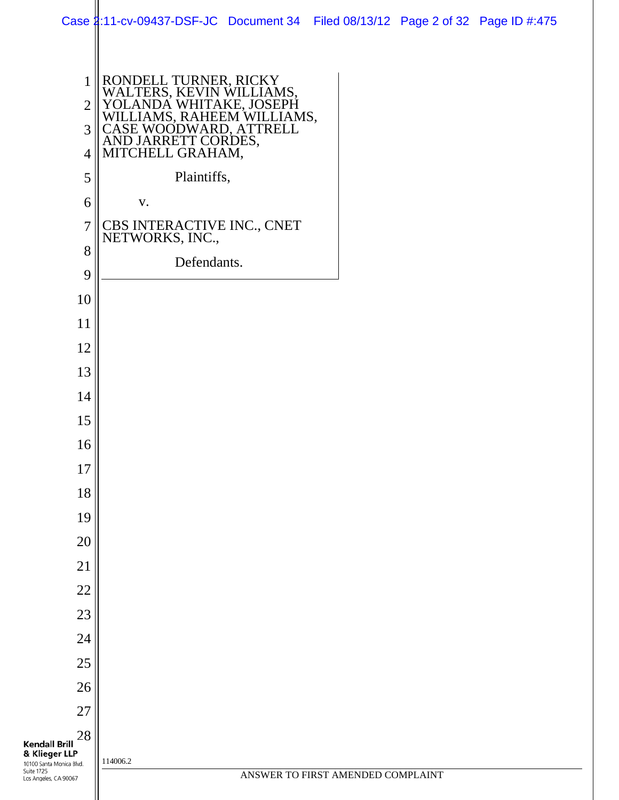|                                                         | Case \$:11-cv-09437-DSF-JC Document 34 Filed 08/13/12 Page 2 of 32 Page ID #:475                                                                                                |                                   |  |
|---------------------------------------------------------|---------------------------------------------------------------------------------------------------------------------------------------------------------------------------------|-----------------------------------|--|
|                                                         |                                                                                                                                                                                 |                                   |  |
| $\mathbf{1}$                                            | RONDELL TURNER, RICKY<br>WALTERS, KEVIN WILLIAMS,<br>YOLANDA WHITAKE, JOSEPH<br>WILLIAMS, RAHEEM WILLIAMS,<br>CASE WOODWARD, ATTRELL<br>AND JARRETT CORDES,<br>MITCHELL GRAHAM, |                                   |  |
| $\overline{2}$                                          |                                                                                                                                                                                 |                                   |  |
| $\overline{3}$                                          |                                                                                                                                                                                 |                                   |  |
| $\overline{4}$                                          |                                                                                                                                                                                 |                                   |  |
| 5                                                       | Plaintiffs,                                                                                                                                                                     |                                   |  |
| 6                                                       | V.                                                                                                                                                                              |                                   |  |
| $\tau$                                                  | CBS INTERACTIVE INC., CNET NETWORKS, INC.,                                                                                                                                      |                                   |  |
| 8                                                       | Defendants.                                                                                                                                                                     |                                   |  |
| 9                                                       |                                                                                                                                                                                 |                                   |  |
| 10                                                      |                                                                                                                                                                                 |                                   |  |
| 11                                                      |                                                                                                                                                                                 |                                   |  |
| 12                                                      |                                                                                                                                                                                 |                                   |  |
| 13                                                      |                                                                                                                                                                                 |                                   |  |
| 14                                                      |                                                                                                                                                                                 |                                   |  |
| 15                                                      |                                                                                                                                                                                 |                                   |  |
| 16                                                      |                                                                                                                                                                                 |                                   |  |
| 17                                                      |                                                                                                                                                                                 |                                   |  |
| 18                                                      |                                                                                                                                                                                 |                                   |  |
| 19                                                      |                                                                                                                                                                                 |                                   |  |
| 20                                                      |                                                                                                                                                                                 |                                   |  |
| 21                                                      |                                                                                                                                                                                 |                                   |  |
| 22                                                      |                                                                                                                                                                                 |                                   |  |
| 23                                                      |                                                                                                                                                                                 |                                   |  |
| 24                                                      |                                                                                                                                                                                 |                                   |  |
| 25                                                      |                                                                                                                                                                                 |                                   |  |
| 26                                                      |                                                                                                                                                                                 |                                   |  |
| 27                                                      |                                                                                                                                                                                 |                                   |  |
| 28<br><b>Kendall Brill</b>                              |                                                                                                                                                                                 |                                   |  |
| & Klieger LLP<br>10100 Santa Monica Blvd.<br>Suite 1725 | 114006.2                                                                                                                                                                        | ANSWER TO FIRST AMENDED COMPLAINT |  |
| Los Angeles, CA 90067                                   |                                                                                                                                                                                 |                                   |  |

i<br>L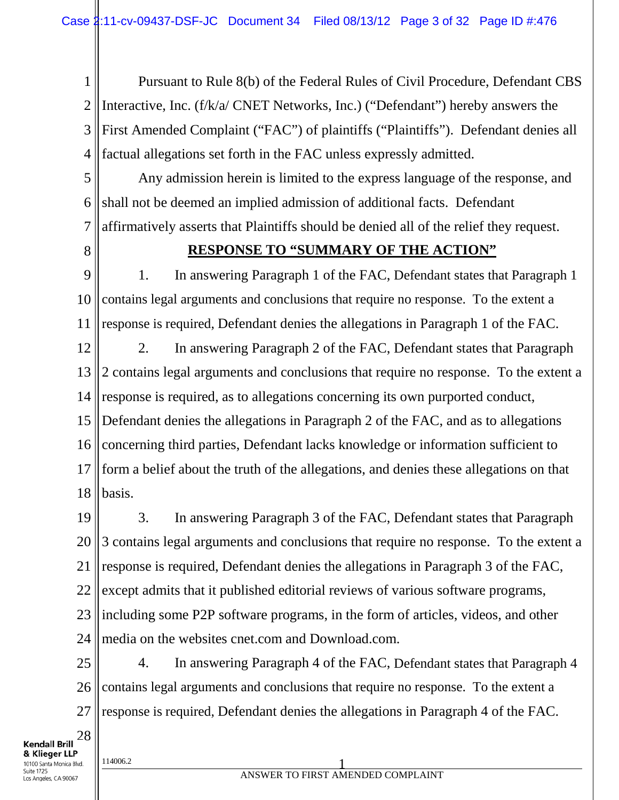1 2 3 4 Pursuant to Rule 8(b) of the Federal Rules of Civil Procedure, Defendant CBS Interactive, Inc. (f/k/a/ CNET Networks, Inc.) ("Defendant") hereby answers the First Amended Complaint ("FAC") of plaintiffs ("Plaintiffs"). Defendant denies all factual allegations set forth in the FAC unless expressly admitted.

5 6 7 Any admission herein is limited to the express language of the response, and shall not be deemed an implied admission of additional facts. Defendant affirmatively asserts that Plaintiffs should be denied all of the relief they request.

8

#### **RESPONSE TO "SUMMARY OF THE ACTION"**

9 10 11 1. In answering Paragraph 1 of the FAC, Defendant states that Paragraph 1 contains legal arguments and conclusions that require no response. To the extent a response is required, Defendant denies the allegations in Paragraph 1 of the FAC.

12 13 14 15 16 17 18 2. In answering Paragraph 2 of the FAC, Defendant states that Paragraph 2 contains legal arguments and conclusions that require no response. To the extent a response is required, as to allegations concerning its own purported conduct, Defendant denies the allegations in Paragraph 2 of the FAC, and as to allegations concerning third parties, Defendant lacks knowledge or information sufficient to form a belief about the truth of the allegations, and denies these allegations on that basis.

19 20 21 22 23 24 3. In answering Paragraph 3 of the FAC, Defendant states that Paragraph 3 contains legal arguments and conclusions that require no response. To the extent a response is required, Defendant denies the allegations in Paragraph 3 of the FAC, except admits that it published editorial reviews of various software programs, including some P2P software programs, in the form of articles, videos, and other media on the websites cnet.com and Download.com.

25 26 27 4. In answering Paragraph 4 of the FAC, Defendant states that Paragraph 4 contains legal arguments and conclusions that require no response. To the extent a response is required, Defendant denies the allegations in Paragraph 4 of the FAC.

28 **Kendall Brill** & Klieger LLP 10100 Santa Monica Blvd. Suite 1725

Los Angeles, CA 90067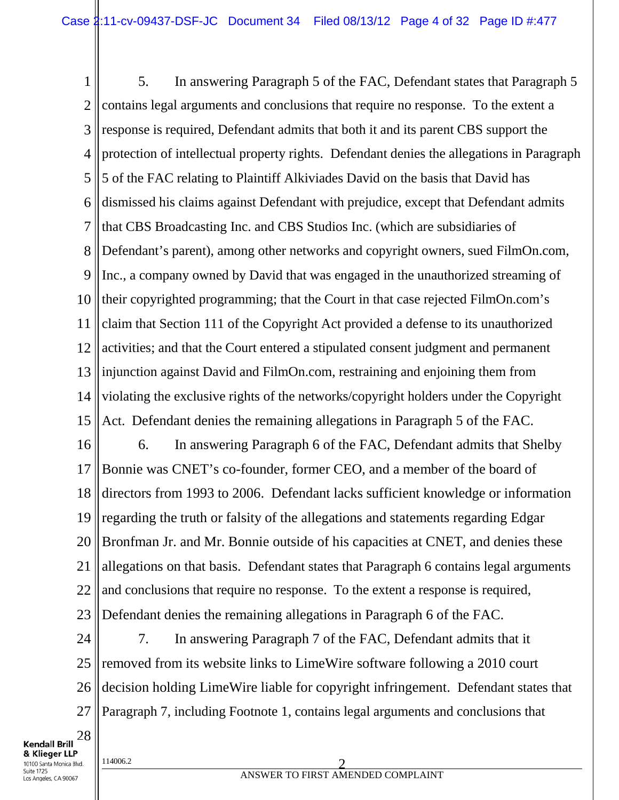1 2 3 4 5 6 7 8 9 10 11 12 13 14 15 16 17 18 19 20 21 22 5. In answering Paragraph 5 of the FAC, Defendant states that Paragraph 5 contains legal arguments and conclusions that require no response. To the extent a response is required, Defendant admits that both it and its parent CBS support the protection of intellectual property rights. Defendant denies the allegations in Paragraph 5 of the FAC relating to Plaintiff Alkiviades David on the basis that David has dismissed his claims against Defendant with prejudice, except that Defendant admits that CBS Broadcasting Inc. and CBS Studios Inc. (which are subsidiaries of Defendant's parent), among other networks and copyright owners, sued FilmOn.com, Inc., a company owned by David that was engaged in the unauthorized streaming of their copyrighted programming; that the Court in that case rejected FilmOn.com's claim that Section 111 of the Copyright Act provided a defense to its unauthorized activities; and that the Court entered a stipulated consent judgment and permanent injunction against David and FilmOn.com, restraining and enjoining them from violating the exclusive rights of the networks/copyright holders under the Copyright Act. Defendant denies the remaining allegations in Paragraph 5 of the FAC. 6. In answering Paragraph 6 of the FAC, Defendant admits that Shelby Bonnie was CNET's co-founder, former CEO, and a member of the board of directors from 1993 to 2006. Defendant lacks sufficient knowledge or information regarding the truth or falsity of the allegations and statements regarding Edgar Bronfman Jr. and Mr. Bonnie outside of his capacities at CNET, and denies these allegations on that basis. Defendant states that Paragraph 6 contains legal arguments and conclusions that require no response. To the extent a response is required,

23 Defendant denies the remaining allegations in Paragraph 6 of the FAC.

24 25 26 27 7. In answering Paragraph 7 of the FAC, Defendant admits that it removed from its website links to LimeWire software following a 2010 court decision holding LimeWire liable for copyright infringement. Defendant states that Paragraph 7, including Footnote 1, contains legal arguments and conclusions that

28 **Kendall Brill** & Klieger LLP 10100 Santa Monica Blvd. Suite 1725 Los Angeles, CA 90067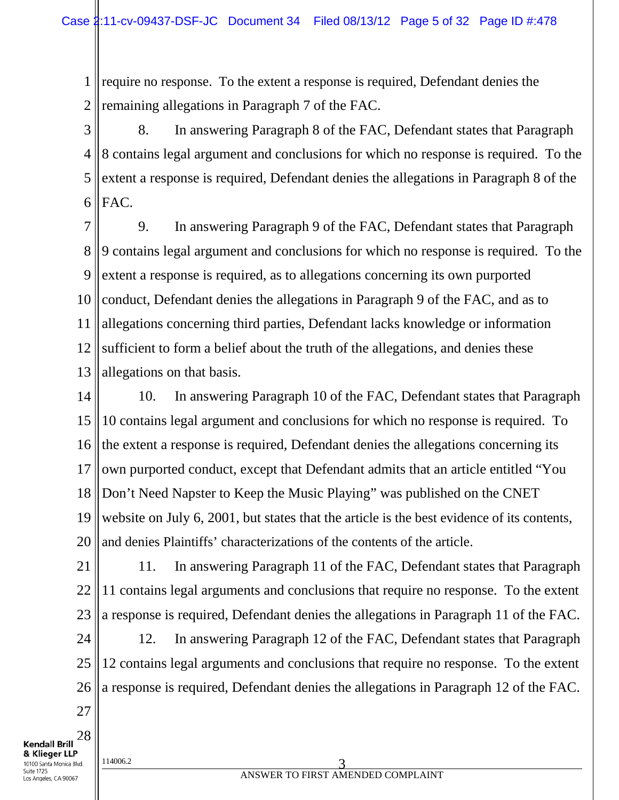1 2 require no response. To the extent a response is required, Defendant denies the remaining allegations in Paragraph 7 of the FAC.

3 4 5 6 8. In answering Paragraph 8 of the FAC, Defendant states that Paragraph 8 contains legal argument and conclusions for which no response is required. To the extent a response is required, Defendant denies the allegations in Paragraph 8 of the FAC.

7 8 9 10 11 12 13 9. In answering Paragraph 9 of the FAC, Defendant states that Paragraph 9 contains legal argument and conclusions for which no response is required. To the extent a response is required, as to allegations concerning its own purported conduct, Defendant denies the allegations in Paragraph 9 of the FAC, and as to allegations concerning third parties, Defendant lacks knowledge or information sufficient to form a belief about the truth of the allegations, and denies these allegations on that basis.

14 15 16 17 18 19 20 10. In answering Paragraph 10 of the FAC, Defendant states that Paragraph 10 contains legal argument and conclusions for which no response is required. To the extent a response is required, Defendant denies the allegations concerning its own purported conduct, except that Defendant admits that an article entitled "You Don't Need Napster to Keep the Music Playing" was published on the CNET website on July 6, 2001, but states that the article is the best evidence of its contents, and denies Plaintiffs' characterizations of the contents of the article.

21 22 23 11. In answering Paragraph 11 of the FAC, Defendant states that Paragraph 11 contains legal arguments and conclusions that require no response. To the extent a response is required, Defendant denies the allegations in Paragraph 11 of the FAC.

24 25 26 12. In answering Paragraph 12 of the FAC, Defendant states that Paragraph 12 contains legal arguments and conclusions that require no response. To the extent a response is required, Defendant denies the allegations in Paragraph 12 of the FAC.

27

28

**Kendall Brill** & Klieger LLP 10100 Santa Monica Blvd. Suite 1725

Los Angeles, CA 90067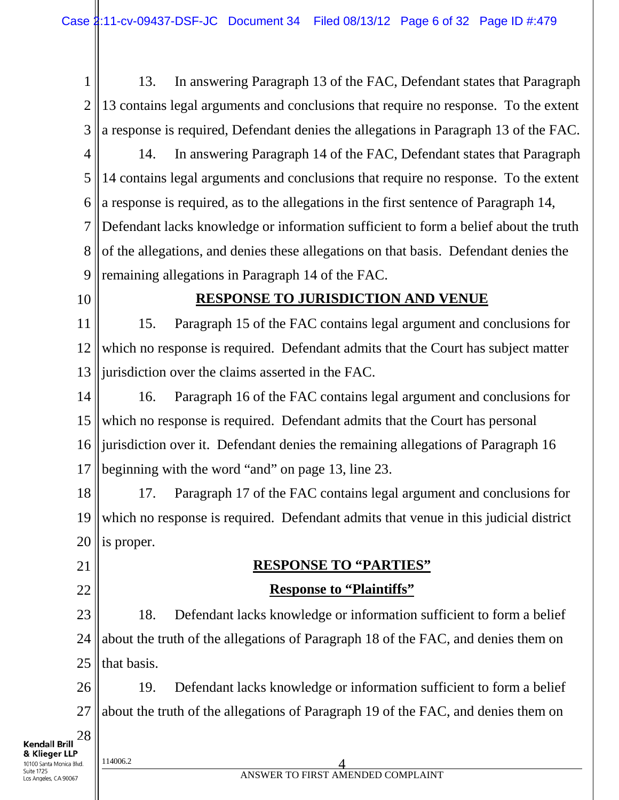1 13. In answering Paragraph 13 of the FAC, Defendant states that Paragraph 2 13 contains legal arguments and conclusions that require no response. To the extent 3 a response is required, Defendant denies the allegations in Paragraph 13 of the FAC. 4 14. In answering Paragraph 14 of the FAC, Defendant states that Paragraph 5 14 contains legal arguments and conclusions that require no response. To the extent a response is required, as to the allegations in the first sentence of Paragraph 14, 6 7 Defendant lacks knowledge or information sufficient to form a belief about the truth 8 of the allegations, and denies these allegations on that basis. Defendant denies the 9 remaining allegations in Paragraph 14 of the FAC. 10 **RESPONSE TO JURISDICTION AND VENUE** 11 15. Paragraph 15 of the FAC contains legal argument and conclusions for 12 which no response is required. Defendant admits that the Court has subject matter 13 jurisdiction over the claims asserted in the FAC. 14 16. Paragraph 16 of the FAC contains legal argument and conclusions for 15 which no response is required. Defendant admits that the Court has personal 16 jurisdiction over it. Defendant denies the remaining allegations of Paragraph 16 17 beginning with the word "and" on page 13, line 23. 18 17. Paragraph 17 of the FAC contains legal argument and conclusions for which no response is required. Defendant admits that venue in this judicial district 19 20 is proper. 21 **RESPONSE TO "PARTIES" Response to "Plaintiffs"** 22 23 18. Defendant lacks knowledge or information sufficient to form a belief 24 about the truth of the allegations of Paragraph 18 of the FAC, and denies them on 25 that basis. 26 19. Defendant lacks knowledge or information sufficient to form a belief about the truth of the allegations of Paragraph 19 of the FAC, and denies them on 27 28 **Kendall Brill** & Klieger LLP  $\frac{114006.2}{4}$ 10100 Santa Monica Blvd.

ANSWER TO FIRST AMENDED COMPLAINT

Suite 1725 Los Angeles, CA 90067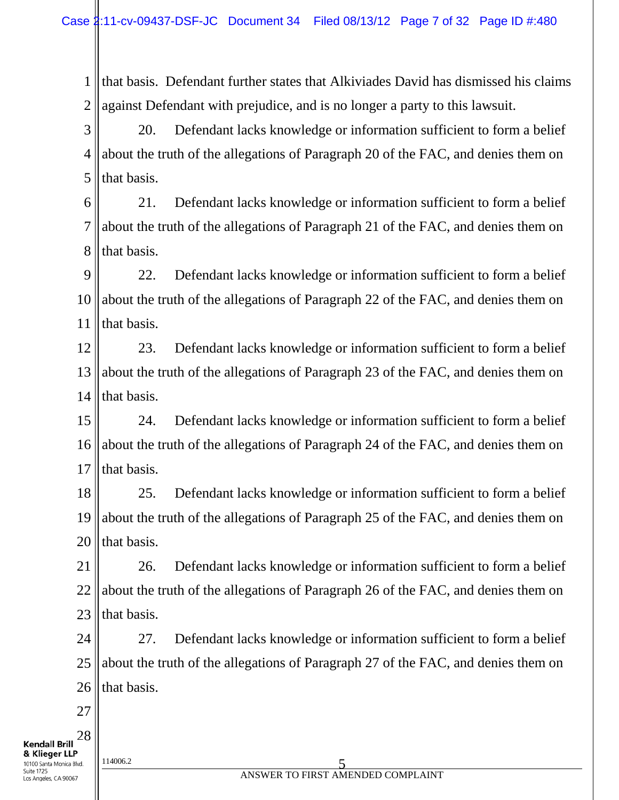1 2 that basis. Defendant further states that Alkiviades David has dismissed his claims against Defendant with prejudice, and is no longer a party to this lawsuit.

3 4 5 20. Defendant lacks knowledge or information sufficient to form a belief about the truth of the allegations of Paragraph 20 of the FAC, and denies them on that basis.

6 7 8 21. Defendant lacks knowledge or information sufficient to form a belief about the truth of the allegations of Paragraph 21 of the FAC, and denies them on that basis.

9 10 11 22. Defendant lacks knowledge or information sufficient to form a belief about the truth of the allegations of Paragraph 22 of the FAC, and denies them on that basis.

12 13 14 23. Defendant lacks knowledge or information sufficient to form a belief about the truth of the allegations of Paragraph 23 of the FAC, and denies them on that basis.

15 16 17 24. Defendant lacks knowledge or information sufficient to form a belief about the truth of the allegations of Paragraph 24 of the FAC, and denies them on that basis.

18 19 20 25. Defendant lacks knowledge or information sufficient to form a belief about the truth of the allegations of Paragraph 25 of the FAC, and denies them on that basis.

21 22 23 26. Defendant lacks knowledge or information sufficient to form a belief about the truth of the allegations of Paragraph 26 of the FAC, and denies them on that basis.

24 25 26 27. Defendant lacks knowledge or information sufficient to form a belief about the truth of the allegations of Paragraph 27 of the FAC, and denies them on that basis.

27

28 **Kendall Brill** & Klieger LLP 10100 Santa Monica Blvd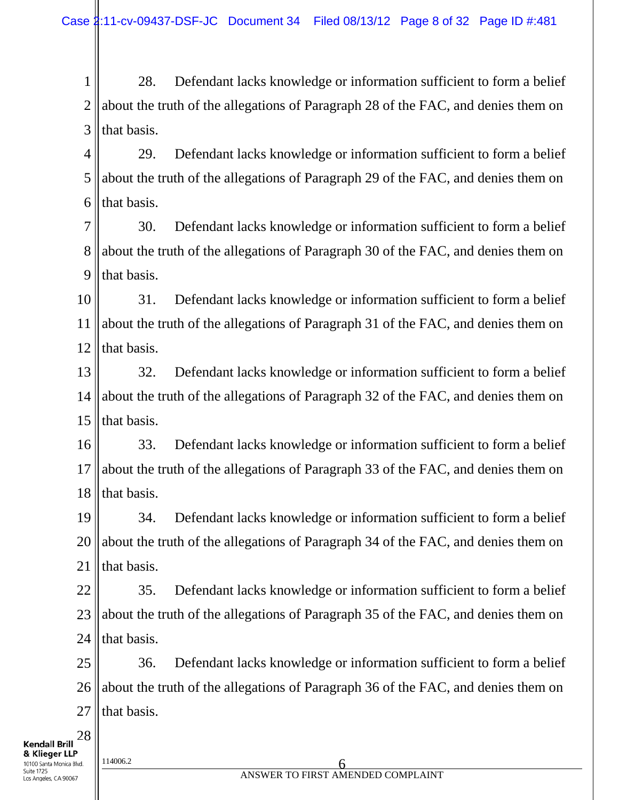1 2 3 28. Defendant lacks knowledge or information sufficient to form a belief about the truth of the allegations of Paragraph 28 of the FAC, and denies them on that basis.

4 5 6 29. Defendant lacks knowledge or information sufficient to form a belief about the truth of the allegations of Paragraph 29 of the FAC, and denies them on that basis.

7 8 9 30. Defendant lacks knowledge or information sufficient to form a belief about the truth of the allegations of Paragraph 30 of the FAC, and denies them on that basis.

10 11 12 31. Defendant lacks knowledge or information sufficient to form a belief about the truth of the allegations of Paragraph 31 of the FAC, and denies them on that basis.

13 14 15 32. Defendant lacks knowledge or information sufficient to form a belief about the truth of the allegations of Paragraph 32 of the FAC, and denies them on that basis.

16 17 18 33. Defendant lacks knowledge or information sufficient to form a belief about the truth of the allegations of Paragraph 33 of the FAC, and denies them on that basis.

19 20 21 34. Defendant lacks knowledge or information sufficient to form a belief about the truth of the allegations of Paragraph 34 of the FAC, and denies them on that basis.

22 23 24 35. Defendant lacks knowledge or information sufficient to form a belief about the truth of the allegations of Paragraph 35 of the FAC, and denies them on that basis.

25 26 27 36. Defendant lacks knowledge or information sufficient to form a belief about the truth of the allegations of Paragraph 36 of the FAC, and denies them on that basis.

**Kendall Brill** & Klieger LLP 10100 Santa Monica Blvd Suite 1725 Los Angeles, CA 90067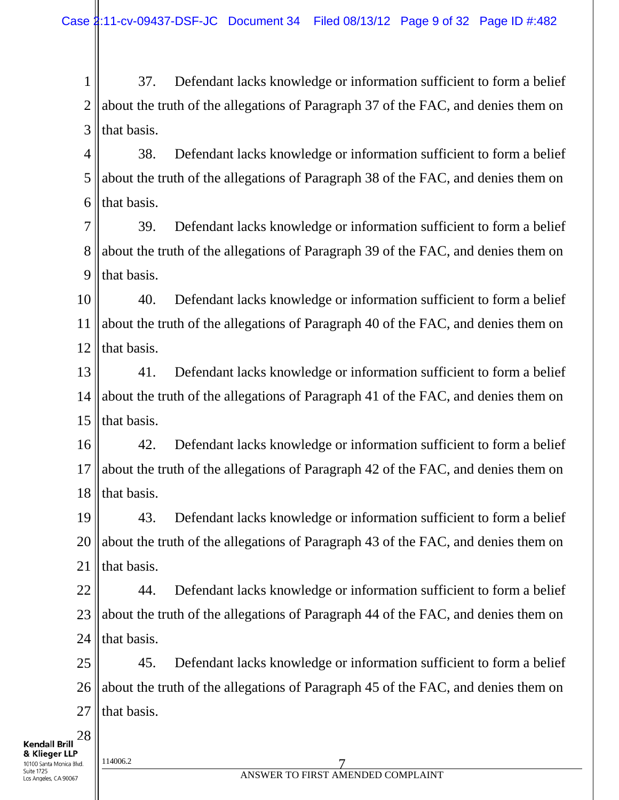1 2 3 37. Defendant lacks knowledge or information sufficient to form a belief about the truth of the allegations of Paragraph 37 of the FAC, and denies them on that basis.

4 5 6 38. Defendant lacks knowledge or information sufficient to form a belief about the truth of the allegations of Paragraph 38 of the FAC, and denies them on that basis.

7 8 9 39. Defendant lacks knowledge or information sufficient to form a belief about the truth of the allegations of Paragraph 39 of the FAC, and denies them on that basis.

10 11 12 40. Defendant lacks knowledge or information sufficient to form a belief about the truth of the allegations of Paragraph 40 of the FAC, and denies them on that basis.

13 14 15 41. Defendant lacks knowledge or information sufficient to form a belief about the truth of the allegations of Paragraph 41 of the FAC, and denies them on that basis.

16 17 18 42. Defendant lacks knowledge or information sufficient to form a belief about the truth of the allegations of Paragraph 42 of the FAC, and denies them on that basis.

19 20 21 43. Defendant lacks knowledge or information sufficient to form a belief about the truth of the allegations of Paragraph 43 of the FAC, and denies them on that basis.

22 23 24 44. Defendant lacks knowledge or information sufficient to form a belief about the truth of the allegations of Paragraph 44 of the FAC, and denies them on that basis.

25 26 27 45. Defendant lacks knowledge or information sufficient to form a belief about the truth of the allegations of Paragraph 45 of the FAC, and denies them on that basis.

**Kendall Brill** & Klieger LLP 10100 Santa Monica Blvd Suite 1725 Los Angeles, CA 90067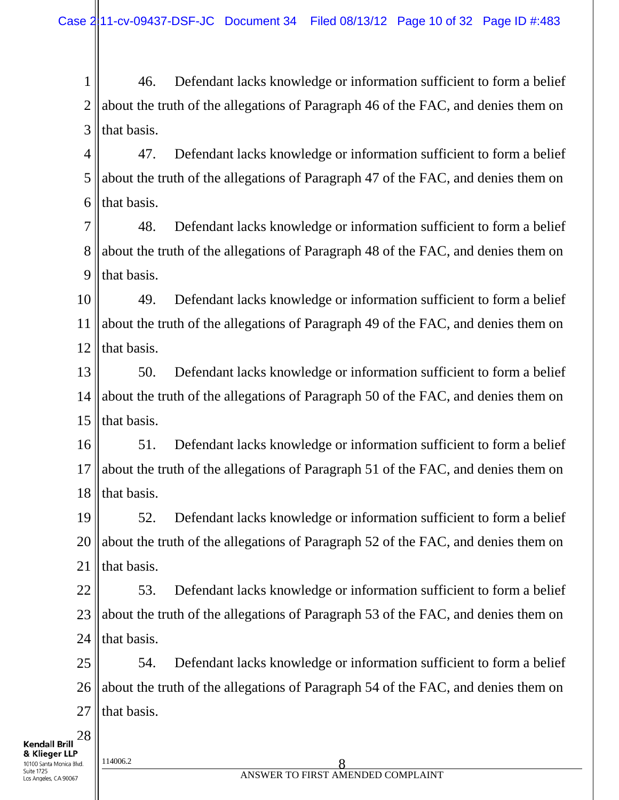1 2 3 46. Defendant lacks knowledge or information sufficient to form a belief about the truth of the allegations of Paragraph 46 of the FAC, and denies them on that basis.

4 5 6 47. Defendant lacks knowledge or information sufficient to form a belief about the truth of the allegations of Paragraph 47 of the FAC, and denies them on that basis.

7 8 9 48. Defendant lacks knowledge or information sufficient to form a belief about the truth of the allegations of Paragraph 48 of the FAC, and denies them on that basis.

10 11 12 49. Defendant lacks knowledge or information sufficient to form a belief about the truth of the allegations of Paragraph 49 of the FAC, and denies them on that basis.

13 14 15 50. Defendant lacks knowledge or information sufficient to form a belief about the truth of the allegations of Paragraph 50 of the FAC, and denies them on that basis.

16 17 18 51. Defendant lacks knowledge or information sufficient to form a belief about the truth of the allegations of Paragraph 51 of the FAC, and denies them on that basis.

19 20 21 52. Defendant lacks knowledge or information sufficient to form a belief about the truth of the allegations of Paragraph 52 of the FAC, and denies them on that basis.

22 23 24 53. Defendant lacks knowledge or information sufficient to form a belief about the truth of the allegations of Paragraph 53 of the FAC, and denies them on that basis.

25 26 27 54. Defendant lacks knowledge or information sufficient to form a belief about the truth of the allegations of Paragraph 54 of the FAC, and denies them on that basis.

**Kendall Brill** & Klieger LLP 10100 Santa Monica Blvd Suite 1725 Los Angeles, CA 90067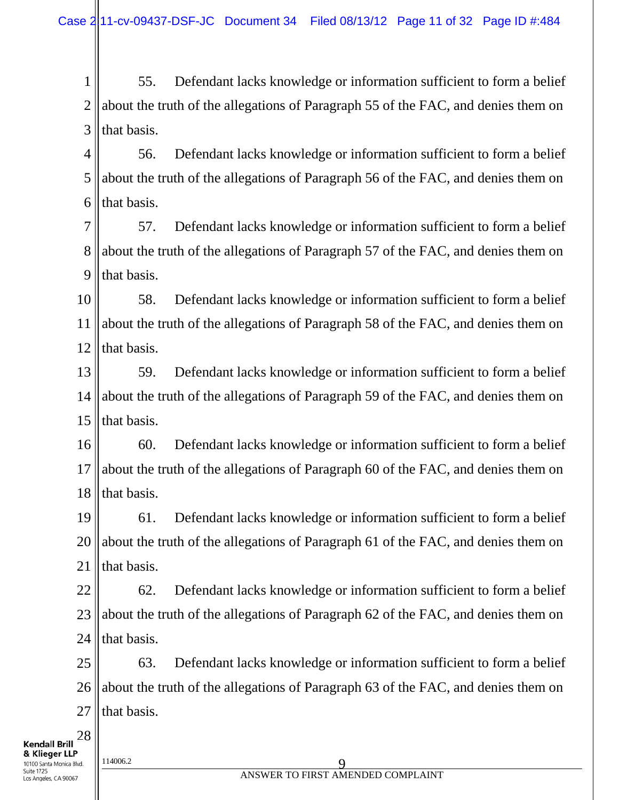1 2 3 55. Defendant lacks knowledge or information sufficient to form a belief about the truth of the allegations of Paragraph 55 of the FAC, and denies them on that basis.

4 5 6 56. Defendant lacks knowledge or information sufficient to form a belief about the truth of the allegations of Paragraph 56 of the FAC, and denies them on that basis.

7 8 9 57. Defendant lacks knowledge or information sufficient to form a belief about the truth of the allegations of Paragraph 57 of the FAC, and denies them on that basis.

10 11 12 58. Defendant lacks knowledge or information sufficient to form a belief about the truth of the allegations of Paragraph 58 of the FAC, and denies them on that basis.

13 14 15 59. Defendant lacks knowledge or information sufficient to form a belief about the truth of the allegations of Paragraph 59 of the FAC, and denies them on that basis.

16 17 18 60. Defendant lacks knowledge or information sufficient to form a belief about the truth of the allegations of Paragraph 60 of the FAC, and denies them on that basis.

19 20 21 61. Defendant lacks knowledge or information sufficient to form a belief about the truth of the allegations of Paragraph 61 of the FAC, and denies them on that basis.

22 23 24 62. Defendant lacks knowledge or information sufficient to form a belief about the truth of the allegations of Paragraph 62 of the FAC, and denies them on that basis.

25 26 27 63. Defendant lacks knowledge or information sufficient to form a belief about the truth of the allegations of Paragraph 63 of the FAC, and denies them on that basis.

**Kendall Brill** & Klieger LLP 10100 Santa Monica Blvd Suite 1725 Los Angeles, CA 90067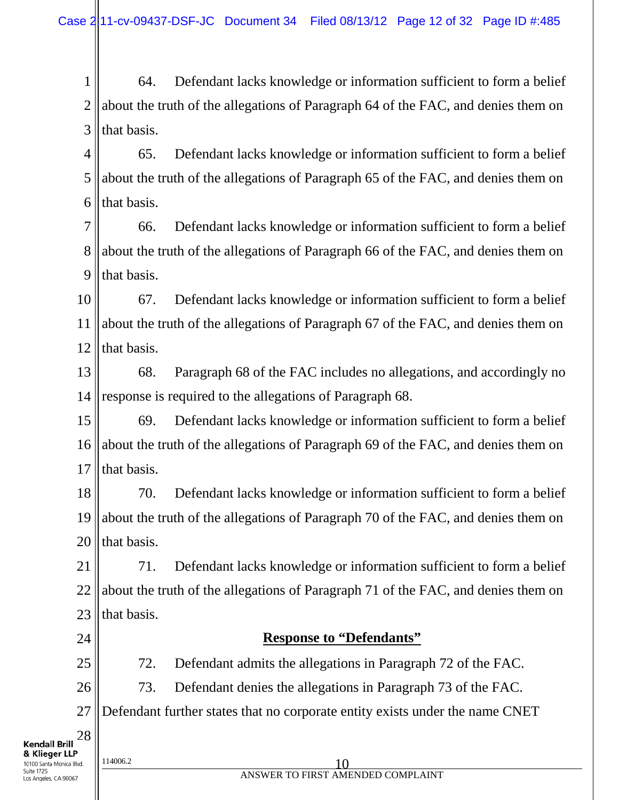1 2 3 64. Defendant lacks knowledge or information sufficient to form a belief about the truth of the allegations of Paragraph 64 of the FAC, and denies them on that basis.

4 5 6 65. Defendant lacks knowledge or information sufficient to form a belief about the truth of the allegations of Paragraph 65 of the FAC, and denies them on that basis.

7 8 9 66. Defendant lacks knowledge or information sufficient to form a belief about the truth of the allegations of Paragraph 66 of the FAC, and denies them on that basis.

10 11 12 67. Defendant lacks knowledge or information sufficient to form a belief about the truth of the allegations of Paragraph 67 of the FAC, and denies them on that basis.

13 14 68. Paragraph 68 of the FAC includes no allegations, and accordingly no response is required to the allegations of Paragraph 68.

15 16 17 69. Defendant lacks knowledge or information sufficient to form a belief about the truth of the allegations of Paragraph 69 of the FAC, and denies them on that basis.

18 19 20 70. Defendant lacks knowledge or information sufficient to form a belief about the truth of the allegations of Paragraph 70 of the FAC, and denies them on that basis.

21 22 23 71. Defendant lacks knowledge or information sufficient to form a belief about the truth of the allegations of Paragraph 71 of the FAC, and denies them on that basis.

24

25

28

#### **Response to "Defendants"**

72. Defendant admits the allegations in Paragraph 72 of the FAC.

26 73. Defendant denies the allegations in Paragraph 73 of the FAC.

27 Defendant further states that no corporate entity exists under the name CNET

**Kendall Brill** & Klieger LLP 10100 Santa Monica Blvd Suite 1725

Los Angeles, CA 90067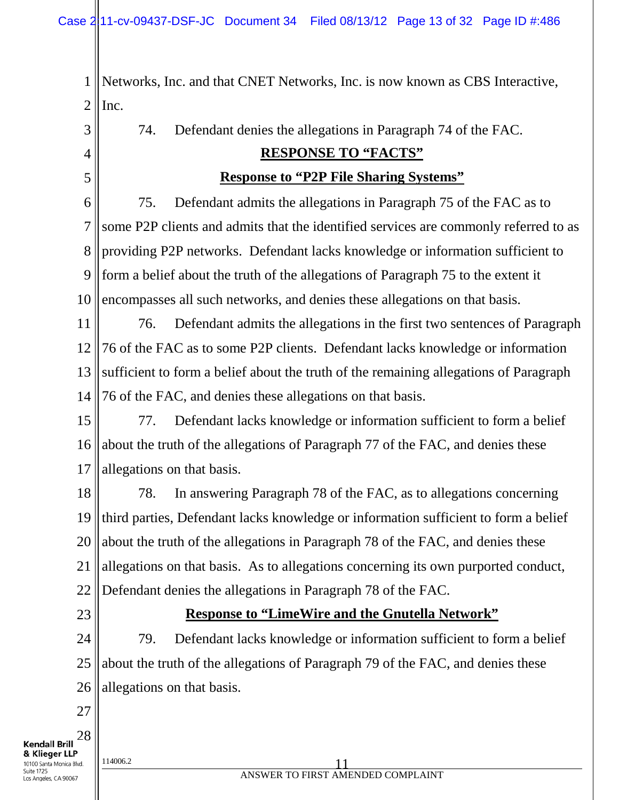1 2 Networks, Inc. and that CNET Networks, Inc. is now known as CBS Interactive, Inc.

3 4 5 6 7 8 9 10 11 12 13 14 15 16 17 18 19 20 21 22 74. Defendant denies the allegations in Paragraph 74 of the FAC. **RESPONSE TO "FACTS" Response to "P2P File Sharing Systems"** 75. Defendant admits the allegations in Paragraph 75 of the FAC as to some P2P clients and admits that the identified services are commonly referred to as providing P2P networks. Defendant lacks knowledge or information sufficient to form a belief about the truth of the allegations of Paragraph 75 to the extent it encompasses all such networks, and denies these allegations on that basis. 76. Defendant admits the allegations in the first two sentences of Paragraph 76 of the FAC as to some P2P clients. Defendant lacks knowledge or information sufficient to form a belief about the truth of the remaining allegations of Paragraph 76 of the FAC, and denies these allegations on that basis. 77. Defendant lacks knowledge or information sufficient to form a belief about the truth of the allegations of Paragraph 77 of the FAC, and denies these allegations on that basis. 78. In answering Paragraph 78 of the FAC, as to allegations concerning third parties, Defendant lacks knowledge or information sufficient to form a belief about the truth of the allegations in Paragraph 78 of the FAC, and denies these allegations on that basis. As to allegations concerning its own purported conduct, Defendant denies the allegations in Paragraph 78 of the FAC.

23

#### **Response to "LimeWire and the Gnutella Network"**

24 25 26 79. Defendant lacks knowledge or information sufficient to form a belief about the truth of the allegations of Paragraph 79 of the FAC, and denies these allegations on that basis.

27

28 **Kendall Brill** & Klieger LLP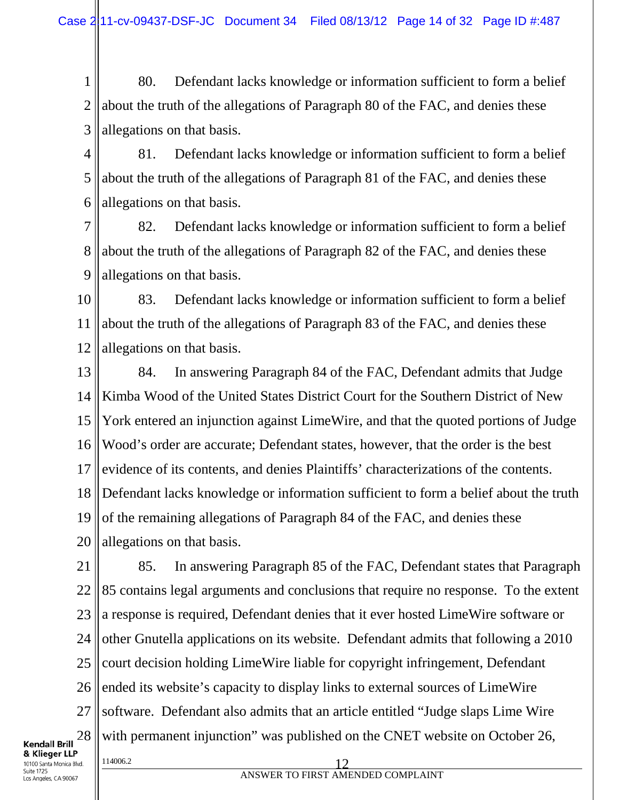1 2 3 80. Defendant lacks knowledge or information sufficient to form a belief about the truth of the allegations of Paragraph 80 of the FAC, and denies these allegations on that basis.

4 5 6 81. Defendant lacks knowledge or information sufficient to form a belief about the truth of the allegations of Paragraph 81 of the FAC, and denies these allegations on that basis.

7 8 9 82. Defendant lacks knowledge or information sufficient to form a belief about the truth of the allegations of Paragraph 82 of the FAC, and denies these allegations on that basis.

10 11 12 83. Defendant lacks knowledge or information sufficient to form a belief about the truth of the allegations of Paragraph 83 of the FAC, and denies these allegations on that basis.

13 14 15 16 17 18 19 20 84. In answering Paragraph 84 of the FAC, Defendant admits that Judge Kimba Wood of the United States District Court for the Southern District of New York entered an injunction against LimeWire, and that the quoted portions of Judge Wood's order are accurate; Defendant states, however, that the order is the best evidence of its contents, and denies Plaintiffs' characterizations of the contents. Defendant lacks knowledge or information sufficient to form a belief about the truth of the remaining allegations of Paragraph 84 of the FAC, and denies these allegations on that basis.

21 22 23 24 25 26 27 28  $\frac{114006.2}{2}$  12 85. In answering Paragraph 85 of the FAC, Defendant states that Paragraph 85 contains legal arguments and conclusions that require no response. To the extent a response is required, Defendant denies that it ever hosted LimeWire software or other Gnutella applications on its website. Defendant admits that following a 2010 court decision holding LimeWire liable for copyright infringement, Defendant ended its website's capacity to display links to external sources of LimeWire software. Defendant also admits that an article entitled "Judge slaps Lime Wire with permanent injunction" was published on the CNET website on October 26,

**Kendall Brill** & Klieger LLP 10100 Santa Monica Blvd. Suite 1725 Los Angeles, CA 90067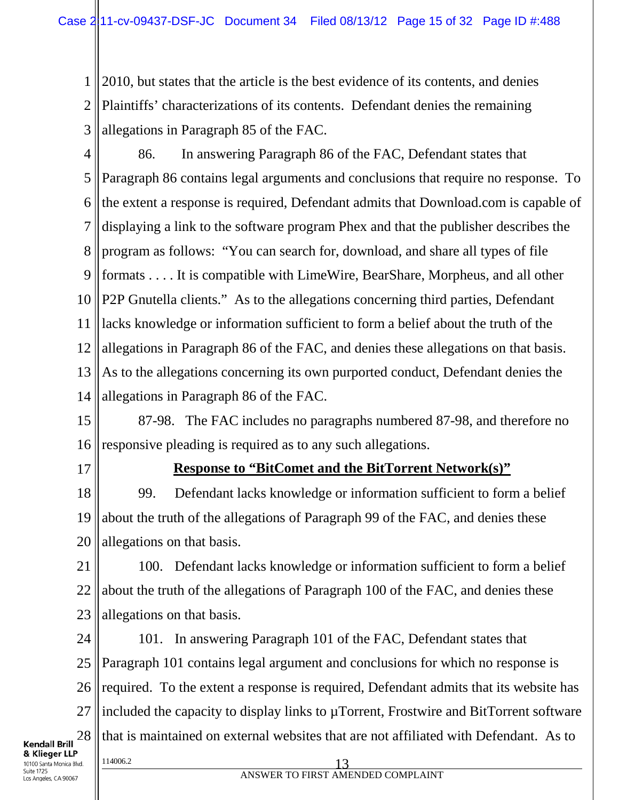1 2 3 2010, but states that the article is the best evidence of its contents, and denies Plaintiffs' characterizations of its contents. Defendant denies the remaining allegations in Paragraph 85 of the FAC.

- 4 5 6 7 8 9 10 11 12 13 14 86. In answering Paragraph 86 of the FAC, Defendant states that Paragraph 86 contains legal arguments and conclusions that require no response. To the extent a response is required, Defendant admits that Download.com is capable of displaying a link to the software program Phex and that the publisher describes the program as follows: "You can search for, download, and share all types of file formats . . . . It is compatible with LimeWire, BearShare, Morpheus, and all other P2P Gnutella clients." As to the allegations concerning third parties, Defendant lacks knowledge or information sufficient to form a belief about the truth of the allegations in Paragraph 86 of the FAC, and denies these allegations on that basis. As to the allegations concerning its own purported conduct, Defendant denies the allegations in Paragraph 86 of the FAC.
- 15 16 87-98. The FAC includes no paragraphs numbered 87-98, and therefore no responsive pleading is required as to any such allegations.
- 17

#### **Response to "BitComet and the BitTorrent Network(s)"**

18 19 20 99. Defendant lacks knowledge or information sufficient to form a belief about the truth of the allegations of Paragraph 99 of the FAC, and denies these allegations on that basis.

21 22 23 100. Defendant lacks knowledge or information sufficient to form a belief about the truth of the allegations of Paragraph 100 of the FAC, and denies these allegations on that basis.

24 25 26 27 28  $\frac{114006.2}{2}$  13 101. In answering Paragraph 101 of the FAC, Defendant states that Paragraph 101 contains legal argument and conclusions for which no response is required. To the extent a response is required, Defendant admits that its website has included the capacity to display links to µTorrent, Frostwire and BitTorrent software that is maintained on external websites that are not affiliated with Defendant. As to

& Klieger LLP 10100 Santa Monica Blvd. Suite 1725 Los Angeles, CA 90067

**Kendall Brill**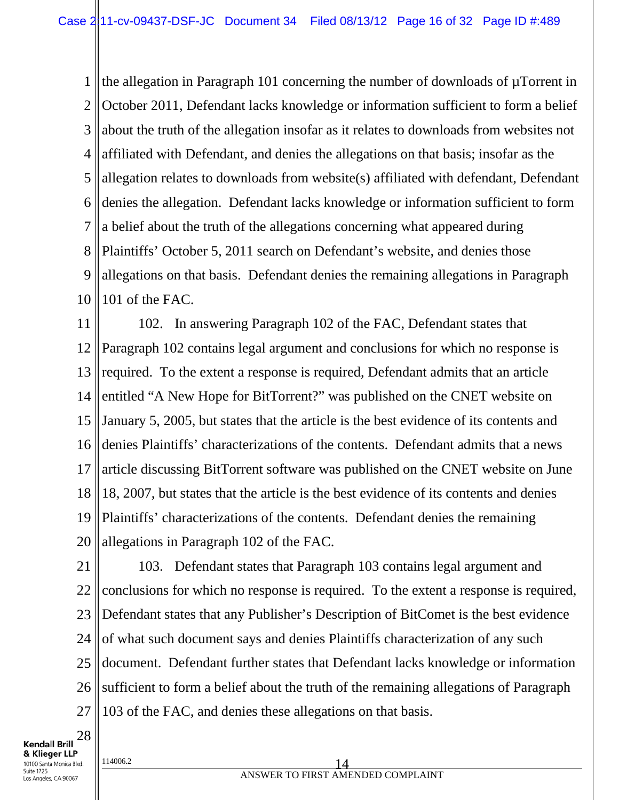1 2 3 4 5 6 7 8 9 10 the allegation in Paragraph 101 concerning the number of downloads of µTorrent in October 2011, Defendant lacks knowledge or information sufficient to form a belief about the truth of the allegation insofar as it relates to downloads from websites not affiliated with Defendant, and denies the allegations on that basis; insofar as the allegation relates to downloads from website(s) affiliated with defendant, Defendant denies the allegation. Defendant lacks knowledge or information sufficient to form a belief about the truth of the allegations concerning what appeared during Plaintiffs' October 5, 2011 search on Defendant's website, and denies those allegations on that basis. Defendant denies the remaining allegations in Paragraph 101 of the FAC.

11 12 13 14 15 16 17 18 19 20 102. In answering Paragraph 102 of the FAC, Defendant states that Paragraph 102 contains legal argument and conclusions for which no response is required. To the extent a response is required, Defendant admits that an article entitled "A New Hope for BitTorrent?" was published on the CNET website on January 5, 2005, but states that the article is the best evidence of its contents and denies Plaintiffs' characterizations of the contents. Defendant admits that a news article discussing BitTorrent software was published on the CNET website on June 18, 2007, but states that the article is the best evidence of its contents and denies Plaintiffs' characterizations of the contents. Defendant denies the remaining allegations in Paragraph 102 of the FAC.

21 22 23 24 25 26 27 103. Defendant states that Paragraph 103 contains legal argument and conclusions for which no response is required. To the extent a response is required, Defendant states that any Publisher's Description of BitComet is the best evidence of what such document says and denies Plaintiffs characterization of any such document. Defendant further states that Defendant lacks knowledge or information sufficient to form a belief about the truth of the remaining allegations of Paragraph 103 of the FAC, and denies these allegations on that basis.

28 **Kendall Brill** & Klieger LLP 10100 Santa Monica Blvd. Suite 1725 Los Angeles, CA 90067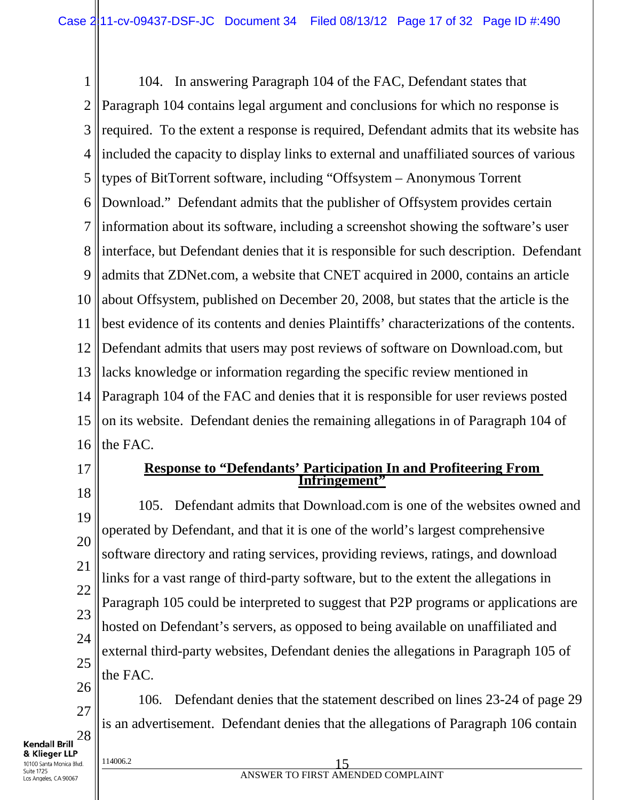1 2 3 4 5 6 7 8 9 10 11 12 13 14 15 16 104. In answering Paragraph 104 of the FAC, Defendant states that Paragraph 104 contains legal argument and conclusions for which no response is required. To the extent a response is required, Defendant admits that its website has included the capacity to display links to external and unaffiliated sources of various types of BitTorrent software, including "Offsystem – Anonymous Torrent Download." Defendant admits that the publisher of Offsystem provides certain information about its software, including a screenshot showing the software's user interface, but Defendant denies that it is responsible for such description. Defendant admits that ZDNet.com, a website that CNET acquired in 2000, contains an article about Offsystem, published on December 20, 2008, but states that the article is the best evidence of its contents and denies Plaintiffs' characterizations of the contents. Defendant admits that users may post reviews of software on Download.com, but lacks knowledge or information regarding the specific review mentioned in Paragraph 104 of the FAC and denies that it is responsible for user reviews posted on its website. Defendant denies the remaining allegations in of Paragraph 104 of the FAC.

- 17
- **Response to "Defendants' Participation In and Profiteering From Infringement"**

18 19 20 21 22 23 24 25 105. Defendant admits that Download.com is one of the websites owned and operated by Defendant, and that it is one of the world's largest comprehensive software directory and rating services, providing reviews, ratings, and download links for a vast range of third-party software, but to the extent the allegations in Paragraph 105 could be interpreted to suggest that P2P programs or applications are hosted on Defendant's servers, as opposed to being available on unaffiliated and external third-party websites, Defendant denies the allegations in Paragraph 105 of the FAC.

26 27 28 106. Defendant denies that the statement described on lines 23-24 of page 29 is an advertisement. Defendant denies that the allegations of Paragraph 106 contain

& Klieger LLP 10100 Santa Monica Blvd. Suite 1725 Los Angeles, CA 90067

Kendall Brill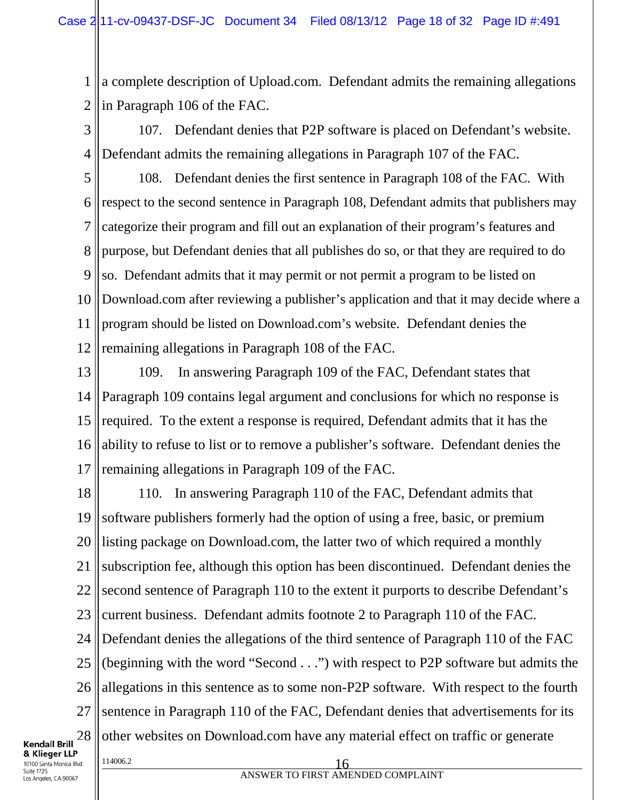1 2 a complete description of Upload.com. Defendant admits the remaining allegations in Paragraph 106 of the FAC.

3 4 107. Defendant denies that P2P software is placed on Defendant's website. Defendant admits the remaining allegations in Paragraph 107 of the FAC.

5 6 7 8 9 10 11 12 108. Defendant denies the first sentence in Paragraph 108 of the FAC. With respect to the second sentence in Paragraph 108, Defendant admits that publishers may categorize their program and fill out an explanation of their program's features and purpose, but Defendant denies that all publishes do so, or that they are required to do so. Defendant admits that it may permit or not permit a program to be listed on Download.com after reviewing a publisher's application and that it may decide where a program should be listed on Download.com's website. Defendant denies the remaining allegations in Paragraph 108 of the FAC.

13 14 15 16 17 109. In answering Paragraph 109 of the FAC, Defendant states that Paragraph 109 contains legal argument and conclusions for which no response is required. To the extent a response is required, Defendant admits that it has the ability to refuse to list or to remove a publisher's software. Defendant denies the remaining allegations in Paragraph 109 of the FAC.

18 19 20 21 22 23 24 25 26 27 28  $\frac{114006.2}{16}$ 110. In answering Paragraph 110 of the FAC, Defendant admits that software publishers formerly had the option of using a free, basic, or premium listing package on Download.com, the latter two of which required a monthly subscription fee, although this option has been discontinued. Defendant denies the second sentence of Paragraph 110 to the extent it purports to describe Defendant's current business. Defendant admits footnote 2 to Paragraph 110 of the FAC. Defendant denies the allegations of the third sentence of Paragraph 110 of the FAC (beginning with the word "Second . . .") with respect to P2P software but admits the allegations in this sentence as to some non-P2P software. With respect to the fourth sentence in Paragraph 110 of the FAC, Defendant denies that advertisements for its other websites on Download.com have any material effect on traffic or generate

**Kendall Brill** & Klieger LLP 10100 Santa Monica Blvd. Suite 1725 Los Angeles, CA 90067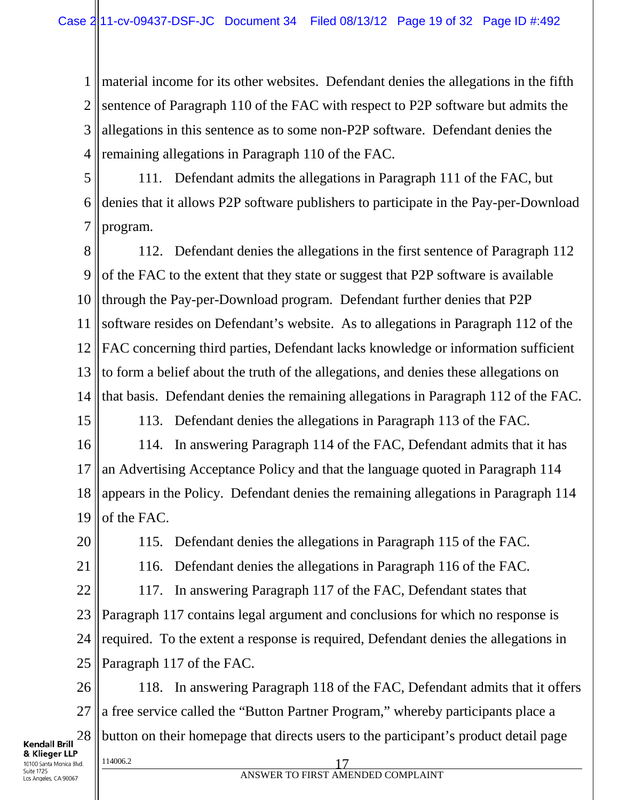1 2 3 4 material income for its other websites. Defendant denies the allegations in the fifth sentence of Paragraph 110 of the FAC with respect to P2P software but admits the allegations in this sentence as to some non-P2P software. Defendant denies the remaining allegations in Paragraph 110 of the FAC.

5 6 7 111. Defendant admits the allegations in Paragraph 111 of the FAC, but denies that it allows P2P software publishers to participate in the Pay-per-Download program.

8 9 10 11 12 13 14 112. Defendant denies the allegations in the first sentence of Paragraph 112 of the FAC to the extent that they state or suggest that P2P software is available through the Pay-per-Download program. Defendant further denies that P2P software resides on Defendant's website. As to allegations in Paragraph 112 of the FAC concerning third parties, Defendant lacks knowledge or information sufficient to form a belief about the truth of the allegations, and denies these allegations on that basis. Defendant denies the remaining allegations in Paragraph 112 of the FAC.

15

113. Defendant denies the allegations in Paragraph 113 of the FAC.

16 17 18 19 114. In answering Paragraph 114 of the FAC, Defendant admits that it has an Advertising Acceptance Policy and that the language quoted in Paragraph 114 appears in the Policy. Defendant denies the remaining allegations in Paragraph 114 of the FAC.

20

115. Defendant denies the allegations in Paragraph 115 of the FAC.

21

116. Defendant denies the allegations in Paragraph 116 of the FAC.

22 23 24 25 117. In answering Paragraph 117 of the FAC, Defendant states that Paragraph 117 contains legal argument and conclusions for which no response is required. To the extent a response is required, Defendant denies the allegations in Paragraph 117 of the FAC.

26 118. In answering Paragraph 118 of the FAC, Defendant admits that it offers 27 a free service called the "Button Partner Program," whereby participants place a 28 button on their homepage that directs users to the participant's product detail page **Kendall Brill** 

& Klieger LLP 10100 Santa Monica Blvd. Suite 1725 Los Angeles, CA 90067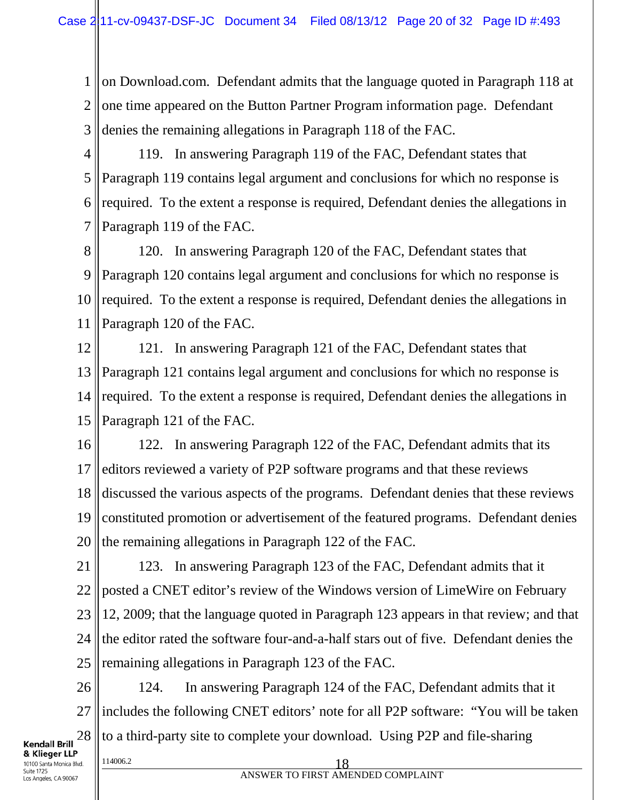1 2 3 on Download.com. Defendant admits that the language quoted in Paragraph 118 at one time appeared on the Button Partner Program information page. Defendant denies the remaining allegations in Paragraph 118 of the FAC.

4 5 6 7 119. In answering Paragraph 119 of the FAC, Defendant states that Paragraph 119 contains legal argument and conclusions for which no response is required. To the extent a response is required, Defendant denies the allegations in Paragraph 119 of the FAC.

8 9 10 11 120. In answering Paragraph 120 of the FAC, Defendant states that Paragraph 120 contains legal argument and conclusions for which no response is required. To the extent a response is required, Defendant denies the allegations in Paragraph 120 of the FAC.

12 13 14 15 121. In answering Paragraph 121 of the FAC, Defendant states that Paragraph 121 contains legal argument and conclusions for which no response is required. To the extent a response is required, Defendant denies the allegations in Paragraph 121 of the FAC.

16 17 18 19 20 122. In answering Paragraph 122 of the FAC, Defendant admits that its editors reviewed a variety of P2P software programs and that these reviews discussed the various aspects of the programs. Defendant denies that these reviews constituted promotion or advertisement of the featured programs. Defendant denies the remaining allegations in Paragraph 122 of the FAC.

21 22 23 24 25 123. In answering Paragraph 123 of the FAC, Defendant admits that it posted a CNET editor's review of the Windows version of LimeWire on February 12, 2009; that the language quoted in Paragraph 123 appears in that review; and that the editor rated the software four-and-a-half stars out of five. Defendant denies the remaining allegations in Paragraph 123 of the FAC.

26 27 28 124. In answering Paragraph 124 of the FAC, Defendant admits that it includes the following CNET editors' note for all P2P software: "You will be taken to a third-party site to complete your download. Using P2P and file-sharing

**Kendall Brill** & Klieger LLP 10100 Santa Monica Blvd. Suite 1725 Los Angeles, CA 90067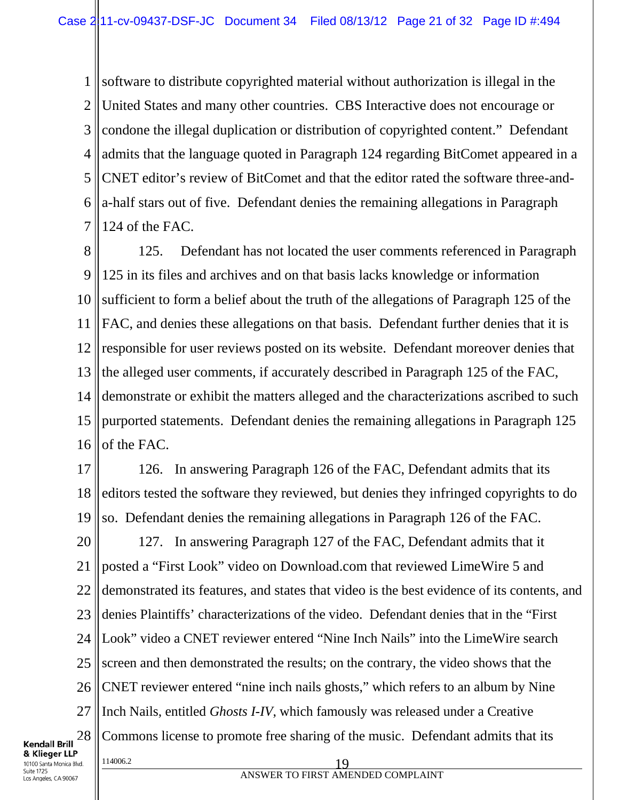1 2 3 4 5 6 7 software to distribute copyrighted material without authorization is illegal in the United States and many other countries. CBS Interactive does not encourage or condone the illegal duplication or distribution of copyrighted content." Defendant admits that the language quoted in Paragraph 124 regarding BitComet appeared in a CNET editor's review of BitComet and that the editor rated the software three-anda-half stars out of five. Defendant denies the remaining allegations in Paragraph 124 of the FAC.

8 9 10 11 12 13 14 15 16 125. Defendant has not located the user comments referenced in Paragraph 125 in its files and archives and on that basis lacks knowledge or information sufficient to form a belief about the truth of the allegations of Paragraph 125 of the FAC, and denies these allegations on that basis. Defendant further denies that it is responsible for user reviews posted on its website. Defendant moreover denies that the alleged user comments, if accurately described in Paragraph 125 of the FAC, demonstrate or exhibit the matters alleged and the characterizations ascribed to such purported statements. Defendant denies the remaining allegations in Paragraph 125 of the FAC.

17 18 19 126. In answering Paragraph 126 of the FAC, Defendant admits that its editors tested the software they reviewed, but denies they infringed copyrights to do so. Defendant denies the remaining allegations in Paragraph 126 of the FAC.

20 21 22 23 24 25 26 27 28  $\frac{114006.2}{2}$  19 127. In answering Paragraph 127 of the FAC, Defendant admits that it posted a "First Look" video on Download.com that reviewed LimeWire 5 and demonstrated its features, and states that video is the best evidence of its contents, and denies Plaintiffs' characterizations of the video. Defendant denies that in the "First Look" video a CNET reviewer entered "Nine Inch Nails" into the LimeWire search screen and then demonstrated the results; on the contrary, the video shows that the CNET reviewer entered "nine inch nails ghosts," which refers to an album by Nine Inch Nails, entitled *Ghosts I-IV*, which famously was released under a Creative Commons license to promote free sharing of the music. Defendant admits that its

& Klieger LLP 10100 Santa Monica Blvd. Suite 1725 Los Angeles, CA 90067

**Kendall Brill**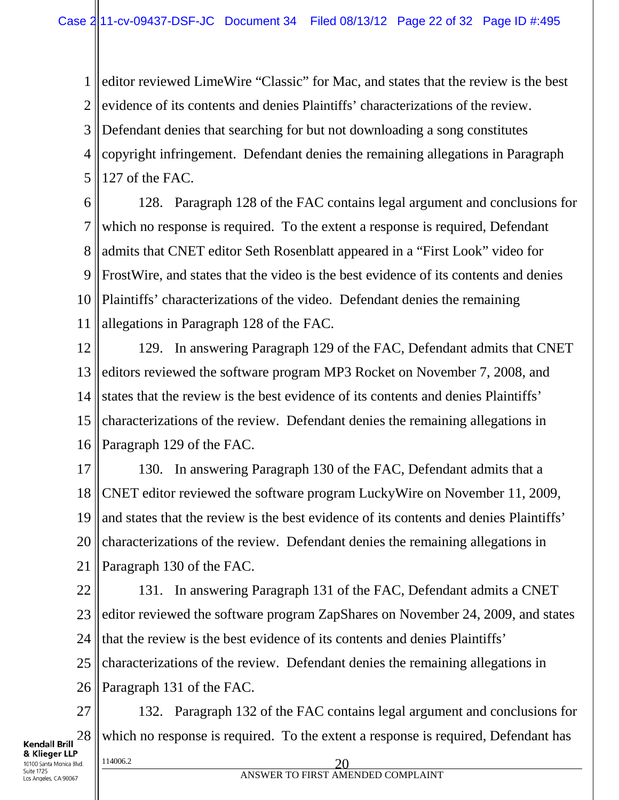1 2 3 4 5 editor reviewed LimeWire "Classic" for Mac, and states that the review is the best evidence of its contents and denies Plaintiffs' characterizations of the review. Defendant denies that searching for but not downloading a song constitutes copyright infringement. Defendant denies the remaining allegations in Paragraph 127 of the FAC.

6 7 8 9 10 11 128. Paragraph 128 of the FAC contains legal argument and conclusions for which no response is required. To the extent a response is required, Defendant admits that CNET editor Seth Rosenblatt appeared in a "First Look" video for FrostWire, and states that the video is the best evidence of its contents and denies Plaintiffs' characterizations of the video. Defendant denies the remaining allegations in Paragraph 128 of the FAC.

12 13 14 15 16 129. In answering Paragraph 129 of the FAC, Defendant admits that CNET editors reviewed the software program MP3 Rocket on November 7, 2008, and states that the review is the best evidence of its contents and denies Plaintiffs' characterizations of the review. Defendant denies the remaining allegations in Paragraph 129 of the FAC.

17 18 19 20 21 130. In answering Paragraph 130 of the FAC, Defendant admits that a CNET editor reviewed the software program LuckyWire on November 11, 2009, and states that the review is the best evidence of its contents and denies Plaintiffs' characterizations of the review. Defendant denies the remaining allegations in Paragraph 130 of the FAC.

22 23 24 25 26 131. In answering Paragraph 131 of the FAC, Defendant admits a CNET editor reviewed the software program ZapShares on November 24, 2009, and states that the review is the best evidence of its contents and denies Plaintiffs' characterizations of the review. Defendant denies the remaining allegations in Paragraph 131 of the FAC.

27 28  $\frac{114006.2}{20}$ 132. Paragraph 132 of the FAC contains legal argument and conclusions for which no response is required. To the extent a response is required, Defendant has

& Klieger LLP 10100 Santa Monica Blvd. Suite 1725 Los Angeles, CA 90067

**Kendall Brill**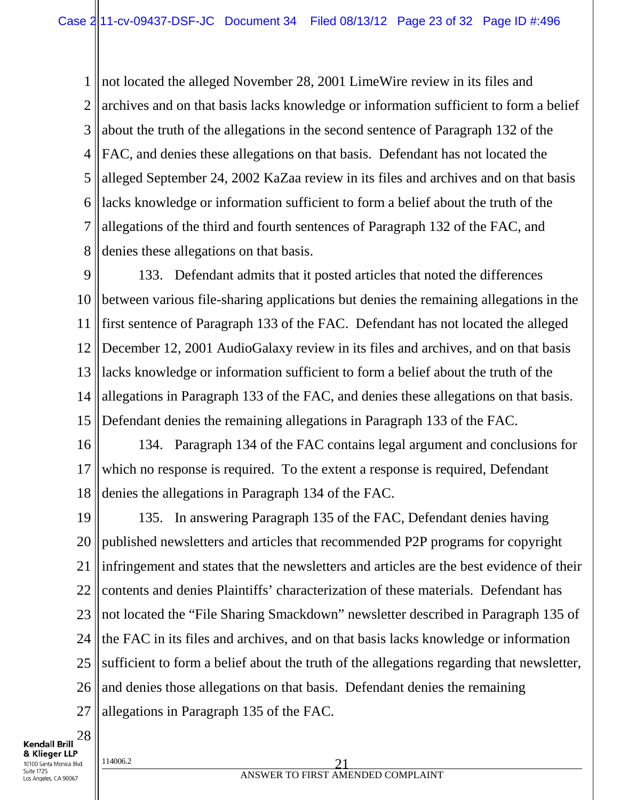1 2 3 4 5 6 7 8 not located the alleged November 28, 2001 LimeWire review in its files and archives and on that basis lacks knowledge or information sufficient to form a belief about the truth of the allegations in the second sentence of Paragraph 132 of the FAC, and denies these allegations on that basis. Defendant has not located the alleged September 24, 2002 KaZaa review in its files and archives and on that basis lacks knowledge or information sufficient to form a belief about the truth of the allegations of the third and fourth sentences of Paragraph 132 of the FAC, and denies these allegations on that basis.

9 10 11 12 13 14 15 133. Defendant admits that it posted articles that noted the differences between various file-sharing applications but denies the remaining allegations in the first sentence of Paragraph 133 of the FAC. Defendant has not located the alleged December 12, 2001 AudioGalaxy review in its files and archives, and on that basis lacks knowledge or information sufficient to form a belief about the truth of the allegations in Paragraph 133 of the FAC, and denies these allegations on that basis. Defendant denies the remaining allegations in Paragraph 133 of the FAC.

16 17 18 134. Paragraph 134 of the FAC contains legal argument and conclusions for which no response is required. To the extent a response is required, Defendant denies the allegations in Paragraph 134 of the FAC.

19 20 21 22 23 24 25 26 27 135. In answering Paragraph 135 of the FAC, Defendant denies having published newsletters and articles that recommended P2P programs for copyright infringement and states that the newsletters and articles are the best evidence of their contents and denies Plaintiffs' characterization of these materials. Defendant has not located the "File Sharing Smackdown" newsletter described in Paragraph 135 of the FAC in its files and archives, and on that basis lacks knowledge or information sufficient to form a belief about the truth of the allegations regarding that newsletter, and denies those allegations on that basis. Defendant denies the remaining allegations in Paragraph 135 of the FAC.

28 **Kendall Brill** & Klieger LLP 10100 Santa Monica Blvd. Suite 1725

Los Angeles, CA 90067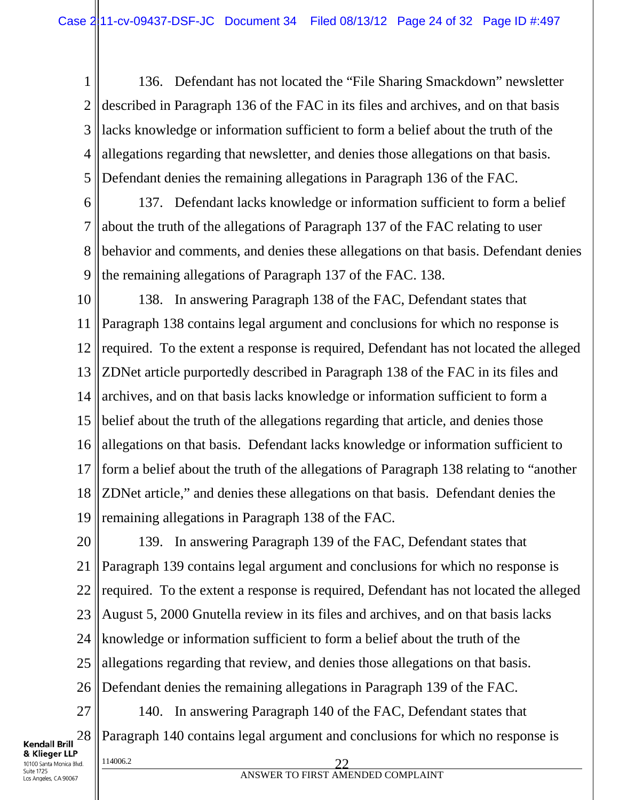1 2 3 4 5 136. Defendant has not located the "File Sharing Smackdown" newsletter described in Paragraph 136 of the FAC in its files and archives, and on that basis lacks knowledge or information sufficient to form a belief about the truth of the allegations regarding that newsletter, and denies those allegations on that basis. Defendant denies the remaining allegations in Paragraph 136 of the FAC.

6 7 8 9 137. Defendant lacks knowledge or information sufficient to form a belief about the truth of the allegations of Paragraph 137 of the FAC relating to user behavior and comments, and denies these allegations on that basis. Defendant denies the remaining allegations of Paragraph 137 of the FAC. 138.

10 11 12 13 14 15 16 17 18 19 138. In answering Paragraph 138 of the FAC, Defendant states that Paragraph 138 contains legal argument and conclusions for which no response is required. To the extent a response is required, Defendant has not located the alleged ZDNet article purportedly described in Paragraph 138 of the FAC in its files and archives, and on that basis lacks knowledge or information sufficient to form a belief about the truth of the allegations regarding that article, and denies those allegations on that basis. Defendant lacks knowledge or information sufficient to form a belief about the truth of the allegations of Paragraph 138 relating to "another ZDNet article," and denies these allegations on that basis. Defendant denies the remaining allegations in Paragraph 138 of the FAC.

20 21 22 23 24 25 26 27 139. In answering Paragraph 139 of the FAC, Defendant states that Paragraph 139 contains legal argument and conclusions for which no response is required. To the extent a response is required, Defendant has not located the alleged August 5, 2000 Gnutella review in its files and archives, and on that basis lacks knowledge or information sufficient to form a belief about the truth of the allegations regarding that review, and denies those allegations on that basis. Defendant denies the remaining allegations in Paragraph 139 of the FAC.

28 **Kendall Brill** & Klieger LLP 10100 Santa Monica Blvd. Suite 1725 Los Angeles, CA 90067

140. In answering Paragraph 140 of the FAC, Defendant states that Paragraph 140 contains legal argument and conclusions for which no response is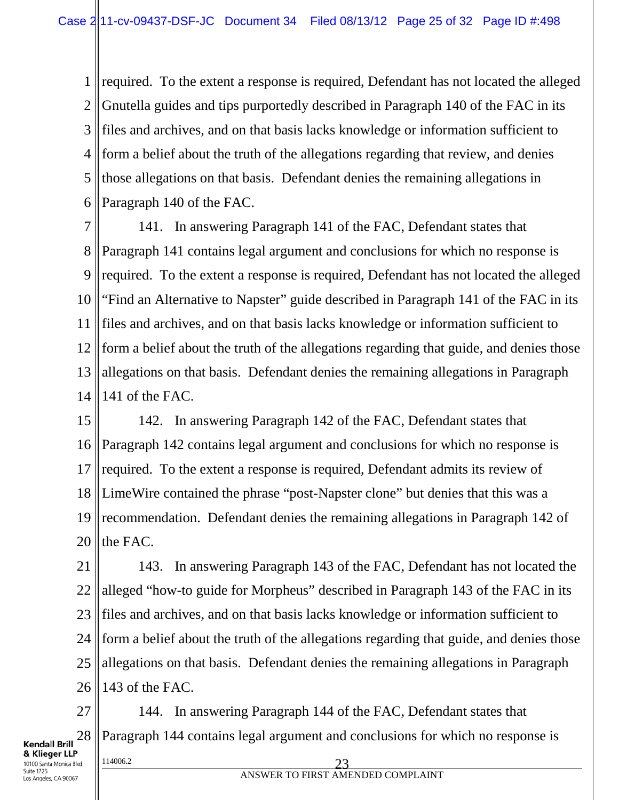1 2 3 4 5 6 required. To the extent a response is required, Defendant has not located the alleged Gnutella guides and tips purportedly described in Paragraph 140 of the FAC in its files and archives, and on that basis lacks knowledge or information sufficient to form a belief about the truth of the allegations regarding that review, and denies those allegations on that basis. Defendant denies the remaining allegations in Paragraph 140 of the FAC.

7 8 9 10 11 12 13 14 141. In answering Paragraph 141 of the FAC, Defendant states that Paragraph 141 contains legal argument and conclusions for which no response is required. To the extent a response is required, Defendant has not located the alleged "Find an Alternative to Napster" guide described in Paragraph 141 of the FAC in its files and archives, and on that basis lacks knowledge or information sufficient to form a belief about the truth of the allegations regarding that guide, and denies those allegations on that basis. Defendant denies the remaining allegations in Paragraph 141 of the FAC.

15 16 17 18 19 20 142. In answering Paragraph 142 of the FAC, Defendant states that Paragraph 142 contains legal argument and conclusions for which no response is required. To the extent a response is required, Defendant admits its review of LimeWire contained the phrase "post-Napster clone" but denies that this was a recommendation. Defendant denies the remaining allegations in Paragraph 142 of the FAC.

21 22 23 24 25 26 143. In answering Paragraph 143 of the FAC, Defendant has not located the alleged "how-to guide for Morpheus" described in Paragraph 143 of the FAC in its files and archives, and on that basis lacks knowledge or information sufficient to form a belief about the truth of the allegations regarding that guide, and denies those allegations on that basis. Defendant denies the remaining allegations in Paragraph 143 of the FAC.

27 28  $\frac{114006.2}{23}$ 144. In answering Paragraph 144 of the FAC, Defendant states that Paragraph 144 contains legal argument and conclusions for which no response is

& Klieger LLP 10100 Santa Monica Blvd. Suite 1725 Los Angeles, CA 90067

**Kendall Brill**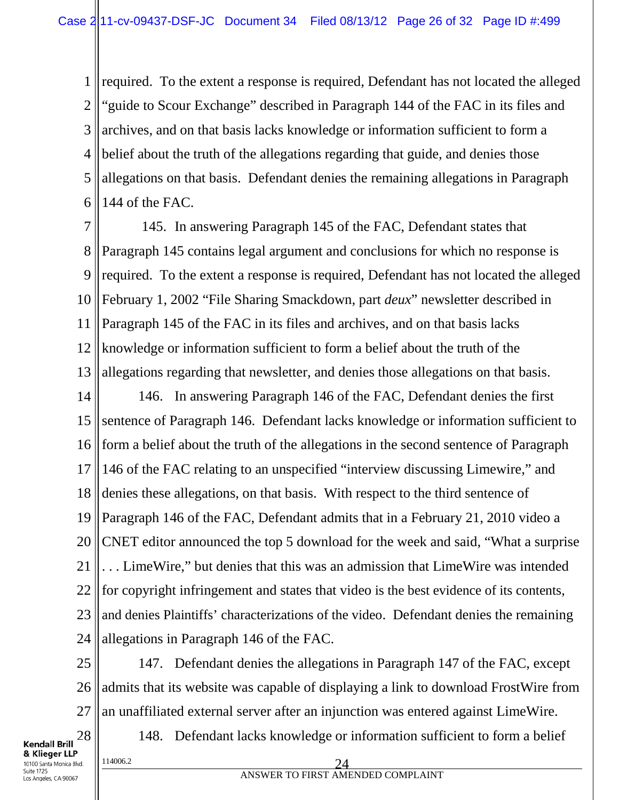1 2 3 4 5 6 required. To the extent a response is required, Defendant has not located the alleged "guide to Scour Exchange" described in Paragraph 144 of the FAC in its files and archives, and on that basis lacks knowledge or information sufficient to form a belief about the truth of the allegations regarding that guide, and denies those allegations on that basis. Defendant denies the remaining allegations in Paragraph 144 of the FAC.

7 8 9 10 11 12 13 145. In answering Paragraph 145 of the FAC, Defendant states that Paragraph 145 contains legal argument and conclusions for which no response is required. To the extent a response is required, Defendant has not located the alleged February 1, 2002 "File Sharing Smackdown, part *deux*" newsletter described in Paragraph 145 of the FAC in its files and archives, and on that basis lacks knowledge or information sufficient to form a belief about the truth of the allegations regarding that newsletter, and denies those allegations on that basis.

14 15 16 17 18 19 20 21 22 23 24 146. In answering Paragraph 146 of the FAC, Defendant denies the first sentence of Paragraph 146. Defendant lacks knowledge or information sufficient to form a belief about the truth of the allegations in the second sentence of Paragraph 146 of the FAC relating to an unspecified "interview discussing Limewire," and denies these allegations, on that basis. With respect to the third sentence of Paragraph 146 of the FAC, Defendant admits that in a February 21, 2010 video a CNET editor announced the top 5 download for the week and said, "What a surprise . . . LimeWire," but denies that this was an admission that LimeWire was intended for copyright infringement and states that video is the best evidence of its contents, and denies Plaintiffs' characterizations of the video. Defendant denies the remaining allegations in Paragraph 146 of the FAC.

25 26 27 147. Defendant denies the allegations in Paragraph 147 of the FAC, except admits that its website was capable of displaying a link to download FrostWire from an unaffiliated external server after an injunction was entered against LimeWire.

28 **Kendall Brill** & Klieger LLP 10100 Santa Monica Blvd. Suite 1725 Los Angeles, CA 90067

148. Defendant lacks knowledge or information sufficient to form a belief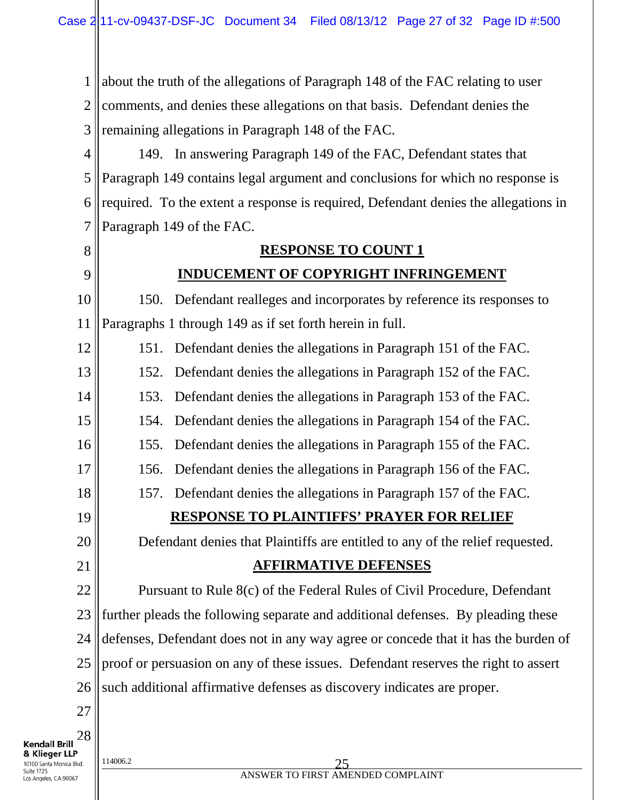1 2 3 about the truth of the allegations of Paragraph 148 of the FAC relating to user comments, and denies these allegations on that basis. Defendant denies the remaining allegations in Paragraph 148 of the FAC.

4 5 6 7 149. In answering Paragraph 149 of the FAC, Defendant states that Paragraph 149 contains legal argument and conclusions for which no response is required. To the extent a response is required, Defendant denies the allegations in Paragraph 149 of the FAC.

8

9

# **INDUCEMENT OF COPYRIGHT INFRINGEMENT**

**RESPONSE TO COUNT 1**

10 11 150. Defendant realleges and incorporates by reference its responses to Paragraphs 1 through 149 as if set forth herein in full.

12 151. Defendant denies the allegations in Paragraph 151 of the FAC.

13 152. Defendant denies the allegations in Paragraph 152 of the FAC.

14 153. Defendant denies the allegations in Paragraph 153 of the FAC.

154. Defendant denies the allegations in Paragraph 154 of the FAC.

155. Defendant denies the allegations in Paragraph 155 of the FAC.

156. Defendant denies the allegations in Paragraph 156 of the FAC.

157. Defendant denies the allegations in Paragraph 157 of the FAC.

19

15

16

17

18

20

21

## **RESPONSE TO PLAINTIFFS' PRAYER FOR RELIEF**

Defendant denies that Plaintiffs are entitled to any of the relief requested.

### **AFFIRMATIVE DEFENSES**

22 23 24 25 26 Pursuant to Rule 8(c) of the Federal Rules of Civil Procedure, Defendant further pleads the following separate and additional defenses. By pleading these defenses, Defendant does not in any way agree or concede that it has the burden of proof or persuasion on any of these issues. Defendant reserves the right to assert such additional affirmative defenses as discovery indicates are proper.

27

28 **Kendall Brill** & Klieger LLP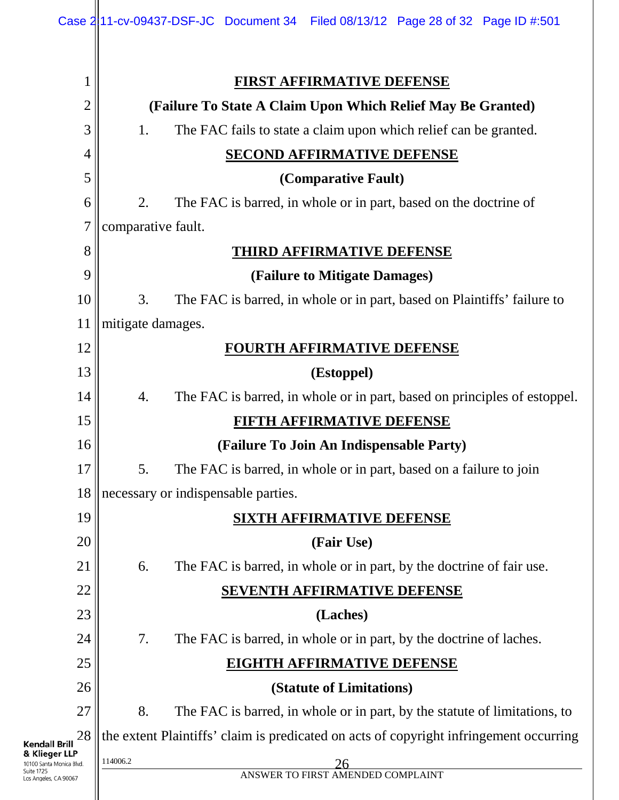|                                                                                  | Case 2 11-cv-09437-DSF-JC Document 34 Filed 08/13/12 Page 28 of 32 Page ID #:501       |  |  |  |  |
|----------------------------------------------------------------------------------|----------------------------------------------------------------------------------------|--|--|--|--|
| 1                                                                                | <b>FIRST AFFIRMATIVE DEFENSE</b>                                                       |  |  |  |  |
| $\overline{2}$                                                                   | (Failure To State A Claim Upon Which Relief May Be Granted)                            |  |  |  |  |
| 3                                                                                | The FAC fails to state a claim upon which relief can be granted.<br>1.                 |  |  |  |  |
| $\overline{4}$                                                                   | <b>SECOND AFFIRMATIVE DEFENSE</b>                                                      |  |  |  |  |
| 5                                                                                | (Comparative Fault)                                                                    |  |  |  |  |
| 6                                                                                | 2.<br>The FAC is barred, in whole or in part, based on the doctrine of                 |  |  |  |  |
| 7                                                                                | comparative fault.                                                                     |  |  |  |  |
| 8                                                                                | <b>THIRD AFFIRMATIVE DEFENSE</b>                                                       |  |  |  |  |
| 9                                                                                | (Failure to Mitigate Damages)                                                          |  |  |  |  |
| 10                                                                               | The FAC is barred, in whole or in part, based on Plaintiffs' failure to<br>3.          |  |  |  |  |
| 11                                                                               | mitigate damages.                                                                      |  |  |  |  |
| 12                                                                               | <b>FOURTH AFFIRMATIVE DEFENSE</b>                                                      |  |  |  |  |
| 13                                                                               | (Estoppel)                                                                             |  |  |  |  |
| 14                                                                               | The FAC is barred, in whole or in part, based on principles of estoppel.<br>4.         |  |  |  |  |
| 15                                                                               | FIFTH AFFIRMATIVE DEFENSE<br>(Failure To Join An Indispensable Party)                  |  |  |  |  |
| 16                                                                               |                                                                                        |  |  |  |  |
| 17                                                                               | 5.<br>The FAC is barred, in whole or in part, based on a failure to join               |  |  |  |  |
| 18                                                                               | necessary or indispensable parties.                                                    |  |  |  |  |
| 19                                                                               | <b>SIXTH AFFIRMATIVE DEFENSE</b>                                                       |  |  |  |  |
| 20                                                                               | (Fair Use)                                                                             |  |  |  |  |
| 21                                                                               | The FAC is barred, in whole or in part, by the doctrine of fair use.<br>6.             |  |  |  |  |
| 22                                                                               | <b>SEVENTH AFFIRMATIVE DEFENSE</b>                                                     |  |  |  |  |
| 23                                                                               | (Laches)                                                                               |  |  |  |  |
| 24                                                                               | 7.<br>The FAC is barred, in whole or in part, by the doctrine of laches.               |  |  |  |  |
| 25                                                                               | <b>EIGHTH AFFIRMATIVE DEFENSE</b>                                                      |  |  |  |  |
| 26                                                                               | (Statute of Limitations)                                                               |  |  |  |  |
| 27                                                                               | 8.<br>The FAC is barred, in whole or in part, by the statute of limitations, to        |  |  |  |  |
| 28<br>Kendall Brill                                                              | the extent Plaintiffs' claim is predicated on acts of copyright infringement occurring |  |  |  |  |
| & Klieger LLP<br>10100 Santa Monica Blvd.<br>Suite 1725<br>Los Angeles, CA 90067 | 114006.2<br>26<br>ANSWER TO FIRST AMENDED COMPLAINT                                    |  |  |  |  |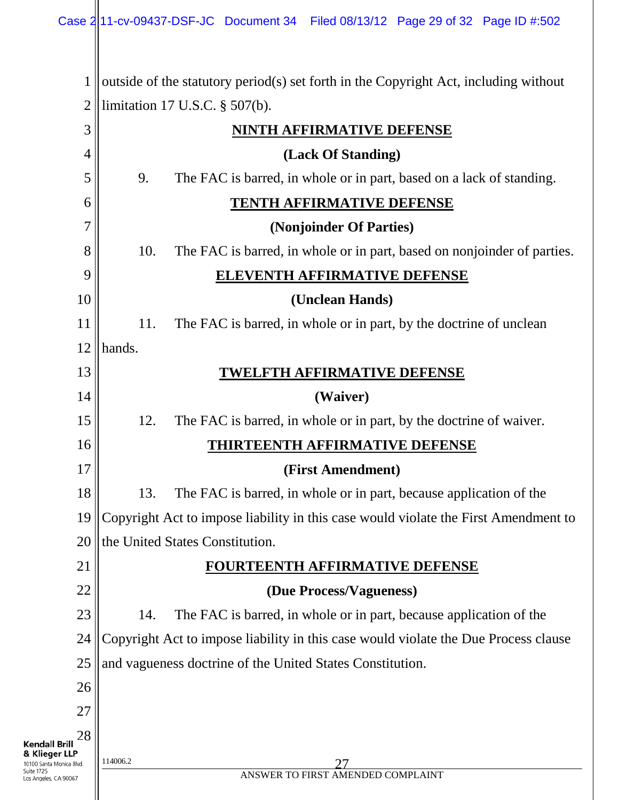1 2 limitation 17 U.S.C. § 507(b). outside of the statutory period(s) set forth in the Copyright Act, including without

|                                                         | ∠<br>$\mu$ $\mu$ $\mu$ $\mu$ $\mu$ $\mu$ $\mu$ $\mu$ $\mu$ $\mu$ .                  |  |  |  |
|---------------------------------------------------------|-------------------------------------------------------------------------------------|--|--|--|
| 3                                                       | <b>NINTH AFFIRMATIVE DEFENSE</b>                                                    |  |  |  |
| 4                                                       | (Lack Of Standing)                                                                  |  |  |  |
| 5                                                       | 9.<br>The FAC is barred, in whole or in part, based on a lack of standing.          |  |  |  |
| 6                                                       | <b>TENTH AFFIRMATIVE DEFENSE</b>                                                    |  |  |  |
| 7                                                       | (Nonjoinder Of Parties)                                                             |  |  |  |
| 8                                                       | 10.<br>The FAC is barred, in whole or in part, based on nonjoinder of parties.      |  |  |  |
| 9                                                       | <b>ELEVENTH AFFIRMATIVE DEFENSE</b>                                                 |  |  |  |
| 10                                                      | (Unclean Hands)                                                                     |  |  |  |
| 11                                                      | 11.<br>The FAC is barred, in whole or in part, by the doctrine of unclean           |  |  |  |
| 12                                                      | hands.                                                                              |  |  |  |
| 13                                                      | <b>TWELFTH AFFIRMATIVE DEFENSE</b>                                                  |  |  |  |
| 14                                                      | (Waiver)                                                                            |  |  |  |
| 15                                                      | 12.<br>The FAC is barred, in whole or in part, by the doctrine of waiver.           |  |  |  |
| 16                                                      | <b>THIRTEENTH AFFIRMATIVE DEFENSE</b>                                               |  |  |  |
| 17                                                      | (First Amendment)                                                                   |  |  |  |
| 18                                                      | 13.<br>The FAC is barred, in whole or in part, because application of the           |  |  |  |
| 19                                                      | Copyright Act to impose liability in this case would violate the First Amendment to |  |  |  |
| 20                                                      | the United States Constitution.                                                     |  |  |  |
| 21                                                      | FOURTEENTH AFFIRMATIVE DEFENSE                                                      |  |  |  |
| 22                                                      | (Due Process/Vagueness)                                                             |  |  |  |
| 23                                                      | 14.<br>The FAC is barred, in whole or in part, because application of the           |  |  |  |
| 24                                                      | Copyright Act to impose liability in this case would violate the Due Process clause |  |  |  |
| 25                                                      | and vagueness doctrine of the United States Constitution.                           |  |  |  |
| 26                                                      |                                                                                     |  |  |  |
| 27                                                      |                                                                                     |  |  |  |
| 28<br><b>Kendall Brill</b>                              |                                                                                     |  |  |  |
| & Klieger LLP<br>10100 Santa Monica Blvd.<br>Suite 1725 | 114006.2                                                                            |  |  |  |
| Los Angeles, CA 90067                                   | ANSWER TO FIRST AMENDED COMPLAINT                                                   |  |  |  |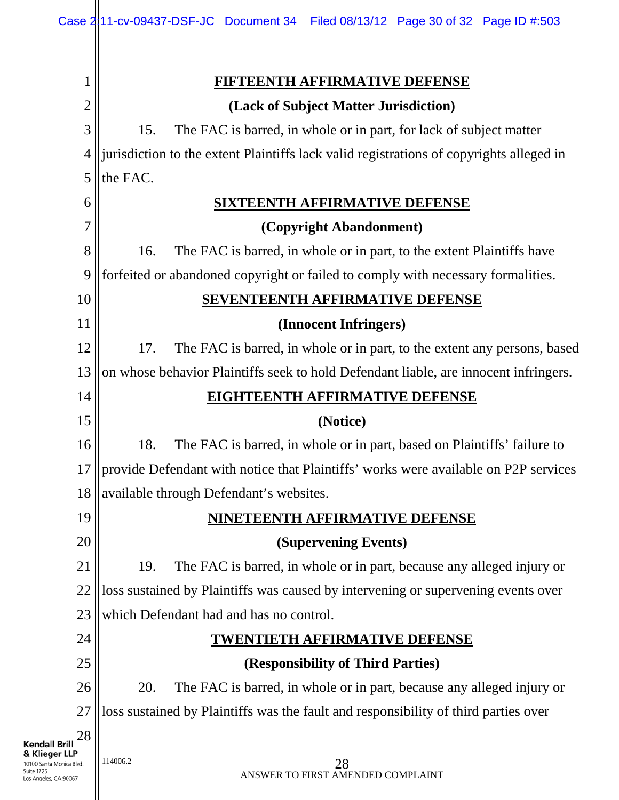| $\mathbf{1}$                                            | <u>FIFTEENTH AFFIRMATIVE DEFENSE</u>                                                    |  |  |
|---------------------------------------------------------|-----------------------------------------------------------------------------------------|--|--|
| $\overline{2}$                                          | (Lack of Subject Matter Jurisdiction)                                                   |  |  |
| 3                                                       | 15.<br>The FAC is barred, in whole or in part, for lack of subject matter               |  |  |
| 4                                                       | jurisdiction to the extent Plaintiffs lack valid registrations of copyrights alleged in |  |  |
| 5                                                       | the FAC.                                                                                |  |  |
| 6                                                       | <b>SIXTEENTH AFFIRMATIVE DEFENSE</b>                                                    |  |  |
| 7                                                       | (Copyright Abandonment)                                                                 |  |  |
| 8                                                       | The FAC is barred, in whole or in part, to the extent Plaintiffs have<br>16.            |  |  |
| 9                                                       | forfeited or abandoned copyright or failed to comply with necessary formalities.        |  |  |
| 10                                                      | <b>SEVENTEENTH AFFIRMATIVE DEFENSE</b>                                                  |  |  |
| 11                                                      | (Innocent Infringers)                                                                   |  |  |
| 12                                                      | 17.<br>The FAC is barred, in whole or in part, to the extent any persons, based         |  |  |
| 13                                                      | on whose behavior Plaintiffs seek to hold Defendant liable, are innocent infringers.    |  |  |
| 14                                                      | <b>EIGHTEENTH AFFIRMATIVE DEFENSE</b>                                                   |  |  |
| 15                                                      | (Notice)                                                                                |  |  |
| 16                                                      | 18.<br>The FAC is barred, in whole or in part, based on Plaintiffs' failure to          |  |  |
| 17                                                      | provide Defendant with notice that Plaintiffs' works were available on P2P services     |  |  |
| 18                                                      | available through Defendant's websites.                                                 |  |  |
| 19                                                      | NINETEENTH AFFIRMATIVE DEFENSE                                                          |  |  |
| 20                                                      | (Supervening Events)                                                                    |  |  |
| 21                                                      | 19.<br>The FAC is barred, in whole or in part, because any alleged injury or            |  |  |
| 22                                                      | loss sustained by Plaintiffs was caused by intervening or supervening events over       |  |  |
| 23                                                      | which Defendant had and has no control.                                                 |  |  |
| 24                                                      | <b>TWENTIETH AFFIRMATIVE DEFENSE</b>                                                    |  |  |
| 25                                                      | (Responsibility of Third Parties)                                                       |  |  |
| 26                                                      | 20.<br>The FAC is barred, in whole or in part, because any alleged injury or            |  |  |
| 27                                                      | loss sustained by Plaintiffs was the fault and responsibility of third parties over     |  |  |
| 28<br>Kendall Brill                                     |                                                                                         |  |  |
| & Klieger LLP<br>10100 Santa Monica Blvd.<br>Suite 1725 | 114006.2<br>28<br>ANSWER TO FIRST AMENDED COMPLAINT                                     |  |  |
| os Angeles, CA 90067                                    |                                                                                         |  |  |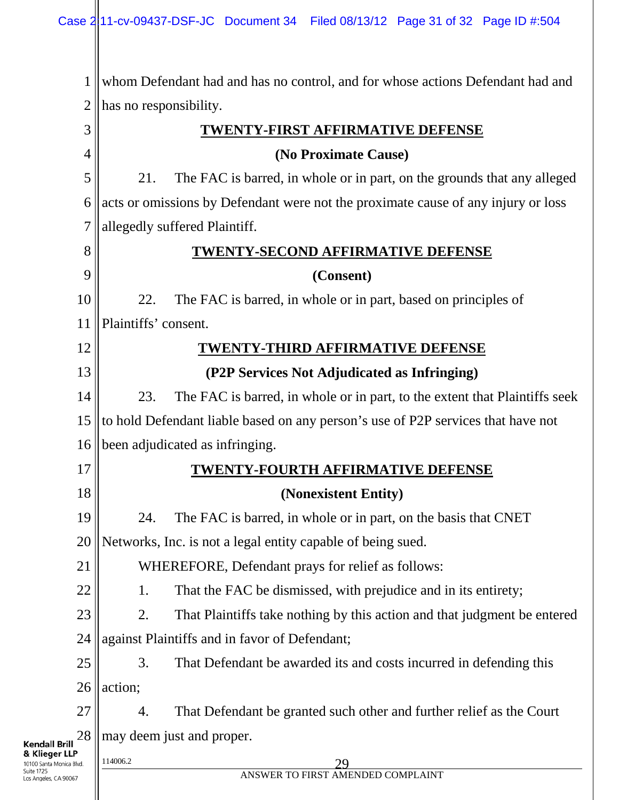Ш

| $\mathbf{1}$                                            | whom Defendant had and has no control, and for whose actions Defendant had and    |  |  |  |
|---------------------------------------------------------|-----------------------------------------------------------------------------------|--|--|--|
| 2                                                       | has no responsibility.                                                            |  |  |  |
| 3                                                       | <b>TWENTY-FIRST AFFIRMATIVE DEFENSE</b>                                           |  |  |  |
| 4                                                       | (No Proximate Cause)                                                              |  |  |  |
| 5                                                       | 21.<br>The FAC is barred, in whole or in part, on the grounds that any alleged    |  |  |  |
| 6                                                       | acts or omissions by Defendant were not the proximate cause of any injury or loss |  |  |  |
| 7                                                       | allegedly suffered Plaintiff.                                                     |  |  |  |
| 8                                                       | <b>TWENTY-SECOND AFFIRMATIVE DEFENSE</b>                                          |  |  |  |
| 9                                                       | (Consent)                                                                         |  |  |  |
| 10                                                      | 22.<br>The FAC is barred, in whole or in part, based on principles of             |  |  |  |
| 11                                                      | Plaintiffs' consent.                                                              |  |  |  |
| 12                                                      | <b>TWENTY-THIRD AFFIRMATIVE DEFENSE</b>                                           |  |  |  |
| 13                                                      | (P2P Services Not Adjudicated as Infringing)                                      |  |  |  |
| 14                                                      | 23.<br>The FAC is barred, in whole or in part, to the extent that Plaintiffs seek |  |  |  |
| 15                                                      | to hold Defendant liable based on any person's use of P2P services that have not  |  |  |  |
| 16                                                      | been adjudicated as infringing.                                                   |  |  |  |
| 17                                                      | <b>TWENTY-FOURTH AFFIRMATIVE DEFENSE</b>                                          |  |  |  |
| 18                                                      | (Nonexistent Entity)                                                              |  |  |  |
| 19                                                      | 24.<br>The FAC is barred, in whole or in part, on the basis that CNET             |  |  |  |
| 20                                                      | Networks, Inc. is not a legal entity capable of being sued.                       |  |  |  |
| 21                                                      | WHEREFORE, Defendant prays for relief as follows:                                 |  |  |  |
| 22                                                      | That the FAC be dismissed, with prejudice and in its entirety;<br>1.              |  |  |  |
| 23                                                      | 2.<br>That Plaintiffs take nothing by this action and that judgment be entered    |  |  |  |
| 24                                                      | against Plaintiffs and in favor of Defendant;                                     |  |  |  |
| 25                                                      | That Defendant be awarded its and costs incurred in defending this<br>3.          |  |  |  |
| 26                                                      | action;                                                                           |  |  |  |
| 27                                                      | That Defendant be granted such other and further relief as the Court<br>4.        |  |  |  |
| 28<br><b>Kendall Brill</b>                              | may deem just and proper.                                                         |  |  |  |
| & Klieger LLP<br>10100 Santa Monica Blvd.<br>Suite 1725 | 114006.2<br>29<br>ANSWER TO FIRST AMENDED COMPLAINT                               |  |  |  |
| Los Angeles, CA 90067                                   |                                                                                   |  |  |  |